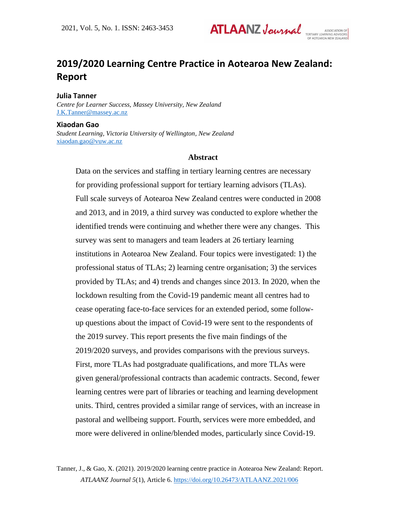

# **2019/2020 Learning Centre Practice in Aotearoa New Zealand: Report**

**Julia Tanner**

*Centre for Learner Success, Massey University, New Zealand* [J.K.Tanner@massey.ac.nz](mailto:J.K.Tanner@massey.ac.nz)

#### **Xiaodan Gao**

*Student Learning, Victoria University of Wellington, New Zealand* [xiaodan.gao@vuw.ac.nz](mailto:xiaodan.gao@vuw.ac.nz)

### **Abstract**

Data on the services and staffing in tertiary learning centres are necessary for providing professional support for tertiary learning advisors (TLAs). Full scale surveys of Aotearoa New Zealand centres were conducted in 2008 and 2013, and in 2019, a third survey was conducted to explore whether the identified trends were continuing and whether there were any changes. This survey was sent to managers and team leaders at 26 tertiary learning institutions in Aotearoa New Zealand. Four topics were investigated: 1) the professional status of TLAs; 2) learning centre organisation; 3) the services provided by TLAs; and 4) trends and changes since 2013. In 2020, when the lockdown resulting from the Covid-19 pandemic meant all centres had to cease operating face-to-face services for an extended period, some followup questions about the impact of Covid-19 were sent to the respondents of the 2019 survey. This report presents the five main findings of the 2019/2020 surveys, and provides comparisons with the previous surveys. First, more TLAs had postgraduate qualifications, and more TLAs were given general/professional contracts than academic contracts. Second, fewer learning centres were part of libraries or teaching and learning development units. Third, centres provided a similar range of services, with an increase in pastoral and wellbeing support. Fourth, services were more embedded, and more were delivered in online/blended modes, particularly since Covid-19.

Tanner, J., & Gao, X. (2021). 2019/2020 learning centre practice in Aotearoa New Zealand: Report. *ATLAANZ Journal 5*(1), Article 6. <https://doi.org/10.26473/ATLAANZ.2021/006>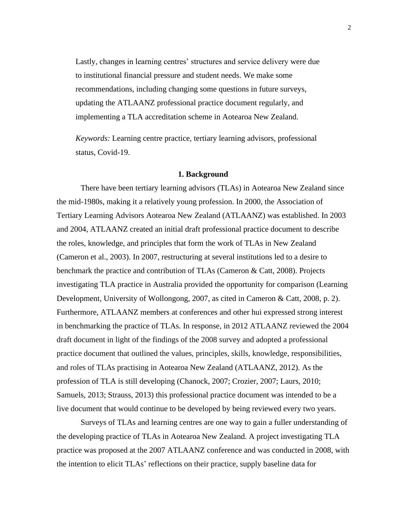Lastly, changes in learning centres' structures and service delivery were due to institutional financial pressure and student needs. We make some recommendations, including changing some questions in future surveys, updating the ATLAANZ professional practice document regularly, and implementing a TLA accreditation scheme in Aotearoa New Zealand.

*Keywords:* Learning centre practice, tertiary learning advisors, professional status, Covid-19.

#### **1. Background**

There have been tertiary learning advisors (TLAs) in Aotearoa New Zealand since the mid-1980s, making it a relatively young profession. In 2000, the Association of Tertiary Learning Advisors Aotearoa New Zealand (ATLAANZ) was established. In 2003 and 2004, ATLAANZ created an initial draft professional practice document to describe the roles, knowledge, and principles that form the work of TLAs in New Zealand (Cameron et al., 2003). In 2007, restructuring at several institutions led to a desire to benchmark the practice and contribution of TLAs (Cameron & Catt, 2008). Projects investigating TLA practice in Australia provided the opportunity for comparison (Learning Development, University of Wollongong, 2007, as cited in Cameron & Catt, 2008, p. 2). Furthermore, ATLAANZ members at conferences and other hui expressed strong interest in benchmarking the practice of TLAs. In response, in 2012 ATLAANZ reviewed the 2004 draft document in light of the findings of the 2008 survey and adopted a professional practice document that outlined the values, principles, skills, knowledge, responsibilities, and roles of TLAs practising in Aotearoa New Zealand (ATLAANZ, 2012). As the profession of TLA is still developing (Chanock, 2007; Crozier, 2007; Laurs, 2010; Samuels, 2013; Strauss, 2013) this professional practice document was intended to be a live document that would continue to be developed by being reviewed every two years.

Surveys of TLAs and learning centres are one way to gain a fuller understanding of the developing practice of TLAs in Aotearoa New Zealand. A project investigating TLA practice was proposed at the 2007 ATLAANZ conference and was conducted in 2008, with the intention to elicit TLAs' reflections on their practice, supply baseline data for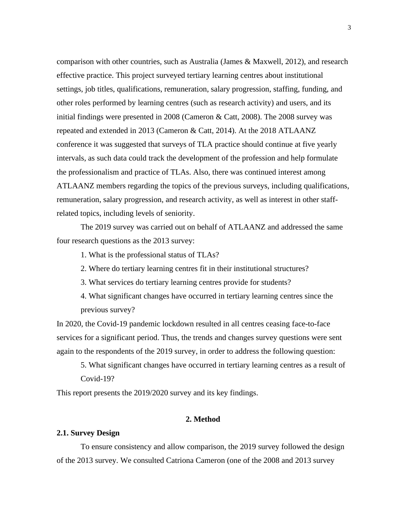comparison with other countries, such as Australia (James & Maxwell, 2012), and research effective practice. This project surveyed tertiary learning centres about institutional settings, job titles, qualifications, remuneration, salary progression, staffing, funding, and other roles performed by learning centres (such as research activity) and users, and its initial findings were presented in 2008 (Cameron & Catt, 2008). The 2008 survey was repeated and extended in 2013 (Cameron & Catt, 2014). At the 2018 ATLAANZ conference it was suggested that surveys of TLA practice should continue at five yearly intervals, as such data could track the development of the profession and help formulate the professionalism and practice of TLAs. Also, there was continued interest among ATLAANZ members regarding the topics of the previous surveys, including qualifications, remuneration, salary progression, and research activity, as well as interest in other staffrelated topics, including levels of seniority.

The 2019 survey was carried out on behalf of ATLAANZ and addressed the same four research questions as the 2013 survey:

1. What is the professional status of TLAs?

2. Where do tertiary learning centres fit in their institutional structures?

3. What services do tertiary learning centres provide for students?

4. What significant changes have occurred in tertiary learning centres since the previous survey?

In 2020, the Covid-19 pandemic lockdown resulted in all centres ceasing face-to-face services for a significant period. Thus, the trends and changes survey questions were sent again to the respondents of the 2019 survey, in order to address the following question:

5. What significant changes have occurred in tertiary learning centres as a result of Covid-19?

This report presents the 2019/2020 survey and its key findings.

## **2. Method**

#### **2.1. Survey Design**

To ensure consistency and allow comparison, the 2019 survey followed the design of the 2013 survey. We consulted Catriona Cameron (one of the 2008 and 2013 survey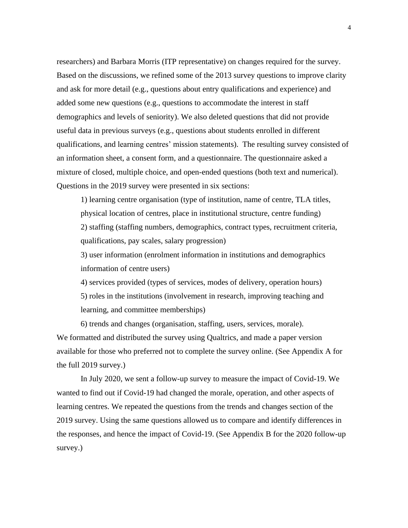researchers) and Barbara Morris (ITP representative) on changes required for the survey. Based on the discussions, we refined some of the 2013 survey questions to improve clarity and ask for more detail (e.g., questions about entry qualifications and experience) and added some new questions (e.g., questions to accommodate the interest in staff demographics and levels of seniority). We also deleted questions that did not provide useful data in previous surveys (e.g., questions about students enrolled in different qualifications, and learning centres' mission statements). The resulting survey consisted of an information sheet, a consent form, and a questionnaire. The questionnaire asked a mixture of closed, multiple choice, and open-ended questions (both text and numerical). Questions in the 2019 survey were presented in six sections:

1) learning centre organisation (type of institution, name of centre, TLA titles, physical location of centres, place in institutional structure, centre funding) 2) staffing (staffing numbers, demographics, contract types, recruitment criteria, qualifications, pay scales, salary progression)

3) user information (enrolment information in institutions and demographics information of centre users)

4) services provided (types of services, modes of delivery, operation hours) 5) roles in the institutions (involvement in research, improving teaching and learning, and committee memberships)

6) trends and changes (organisation, staffing, users, services, morale). We formatted and distributed the survey using Qualtrics, and made a paper version available for those who preferred not to complete the survey online. (See Appendix A for the full 2019 survey.)

In July 2020, we sent a follow-up survey to measure the impact of Covid-19. We wanted to find out if Covid-19 had changed the morale, operation, and other aspects of learning centres. We repeated the questions from the trends and changes section of the 2019 survey. Using the same questions allowed us to compare and identify differences in the responses, and hence the impact of Covid-19. (See Appendix B for the 2020 follow-up survey.)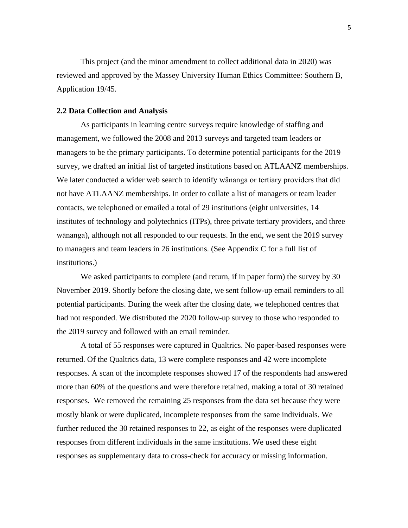This project (and the minor amendment to collect additional data in 2020) was reviewed and approved by the Massey University Human Ethics Committee: Southern B, Application 19/45.

#### **2.2 Data Collection and Analysis**

As participants in learning centre surveys require knowledge of staffing and management, we followed the 2008 and 2013 surveys and targeted team leaders or managers to be the primary participants. To determine potential participants for the 2019 survey, we drafted an initial list of targeted institutions based on ATLAANZ memberships. We later conducted a wider web search to identify wānanga or tertiary providers that did not have ATLAANZ memberships. In order to collate a list of managers or team leader contacts, we telephoned or emailed a total of 29 institutions (eight universities, 14 institutes of technology and polytechnics (ITPs), three private tertiary providers, and three wānanga), although not all responded to our requests. In the end, we sent the 2019 survey to managers and team leaders in 26 institutions. (See Appendix C for a full list of institutions.)

We asked participants to complete (and return, if in paper form) the survey by 30 November 2019. Shortly before the closing date, we sent follow-up email reminders to all potential participants. During the week after the closing date, we telephoned centres that had not responded. We distributed the 2020 follow-up survey to those who responded to the 2019 survey and followed with an email reminder.

A total of 55 responses were captured in Qualtrics. No paper-based responses were returned. Of the Qualtrics data, 13 were complete responses and 42 were incomplete responses. A scan of the incomplete responses showed 17 of the respondents had answered more than 60% of the questions and were therefore retained, making a total of 30 retained responses. We removed the remaining 25 responses from the data set because they were mostly blank or were duplicated, incomplete responses from the same individuals. We further reduced the 30 retained responses to 22, as eight of the responses were duplicated responses from different individuals in the same institutions. We used these eight responses as supplementary data to cross-check for accuracy or missing information.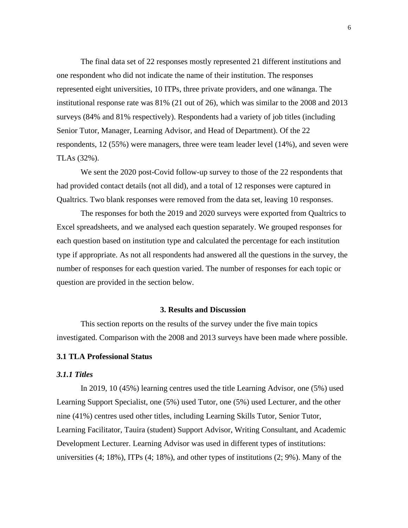The final data set of 22 responses mostly represented 21 different institutions and one respondent who did not indicate the name of their institution. The responses represented eight universities, 10 ITPs, three private providers, and one wānanga. The institutional response rate was 81% (21 out of 26), which was similar to the 2008 and 2013 surveys (84% and 81% respectively). Respondents had a variety of job titles (including Senior Tutor, Manager, Learning Advisor, and Head of Department). Of the 22 respondents, 12 (55%) were managers, three were team leader level (14%), and seven were TLAs (32%).

We sent the 2020 post-Covid follow-up survey to those of the 22 respondents that had provided contact details (not all did), and a total of 12 responses were captured in Qualtrics. Two blank responses were removed from the data set, leaving 10 responses.

The responses for both the 2019 and 2020 surveys were exported from Qualtrics to Excel spreadsheets, and we analysed each question separately. We grouped responses for each question based on institution type and calculated the percentage for each institution type if appropriate. As not all respondents had answered all the questions in the survey, the number of responses for each question varied. The number of responses for each topic or question are provided in the section below.

#### **3. Results and Discussion**

This section reports on the results of the survey under the five main topics investigated. Comparison with the 2008 and 2013 surveys have been made where possible.

#### **3.1 TLA Professional Status**

## *3.1.1 Titles*

In 2019, 10 (45%) learning centres used the title Learning Advisor, one (5%) used Learning Support Specialist, one (5%) used Tutor, one (5%) used Lecturer, and the other nine (41%) centres used other titles, including Learning Skills Tutor, Senior Tutor, Learning Facilitator, Tauira (student) Support Advisor, Writing Consultant, and Academic Development Lecturer. Learning Advisor was used in different types of institutions: universities (4; 18%), ITPs (4; 18%), and other types of institutions (2; 9%). Many of the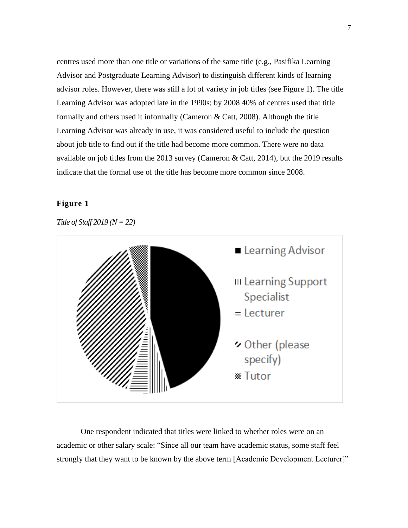centres used more than one title or variations of the same title (e.g., Pasifika Learning Advisor and Postgraduate Learning Advisor) to distinguish different kinds of learning advisor roles. However, there was still a lot of variety in job titles (see Figure 1). The title Learning Advisor was adopted late in the 1990s; by 2008 40% of centres used that title formally and others used it informally (Cameron & Catt, 2008). Although the title Learning Advisor was already in use, it was considered useful to include the question about job title to find out if the title had become more common. There were no data available on job titles from the 2013 survey (Cameron & Catt, 2014), but the 2019 results indicate that the formal use of the title has become more common since 2008.

# **Figure 1**

*Title of Staff 2019 (N = 22)*



One respondent indicated that titles were linked to whether roles were on an academic or other salary scale: "Since all our team have academic status, some staff feel strongly that they want to be known by the above term [Academic Development Lecturer]"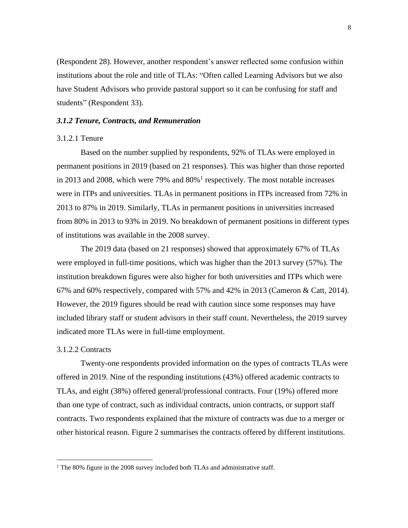(Respondent 28). However, another respondent's answer reflected some confusion within institutions about the role and title of TLAs: "Often called Learning Advisors but we also have Student Advisors who provide pastoral support so it can be confusing for staff and students" (Respondent 33).

#### *3.1.2 Tenure, Contracts, and Remuneration*

#### 3.1.2.1 Tenure

Based on the number supplied by respondents, 92% of TLAs were employed in permanent positions in 2019 (based on 21 responses). This was higher than those reported in 2013 and 2008, which were 79% and  $80\%$ <sup>1</sup> respectively. The most notable increases were in ITPs and universities. TLAs in permanent positions in ITPs increased from 72% in 2013 to 87% in 2019. Similarly, TLAs in permanent positions in universities increased from 80% in 2013 to 93% in 2019. No breakdown of permanent positions in different types of institutions was available in the 2008 survey.

The 2019 data (based on 21 responses) showed that approximately 67% of TLAs were employed in full-time positions, which was higher than the 2013 survey (57%). The institution breakdown figures were also higher for both universities and ITPs which were 67% and 60% respectively, compared with 57% and 42% in 2013 (Cameron & Catt, 2014). However, the 2019 figures should be read with caution since some responses may have included library staff or student advisors in their staff count. Nevertheless, the 2019 survey indicated more TLAs were in full-time employment.

#### 3.1.2.2 Contracts

Twenty-one respondents provided information on the types of contracts TLAs were offered in 2019. Nine of the responding institutions (43%) offered academic contracts to TLAs, and eight (38%) offered general/professional contracts. Four (19%) offered more than one type of contract, such as individual contracts, union contracts, or support staff contracts. Two respondents explained that the mixture of contracts was due to a merger or other historical reason. Figure 2 summarises the contracts offered by different institutions.

 $1$  The 80% figure in the 2008 survey included both TLAs and administrative staff.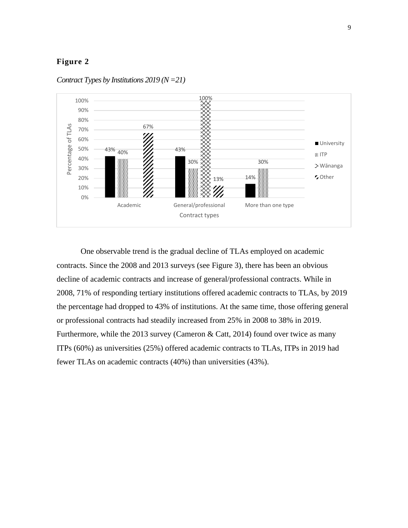

*Contract Types by Institutions 2019 (N =21)*

One observable trend is the gradual decline of TLAs employed on academic contracts. Since the 2008 and 2013 surveys (see Figure 3), there has been an obvious decline of academic contracts and increase of general/professional contracts. While in 2008, 71% of responding tertiary institutions offered academic contracts to TLAs, by 2019 the percentage had dropped to 43% of institutions. At the same time, those offering general or professional contracts had steadily increased from 25% in 2008 to 38% in 2019. Furthermore, while the 2013 survey (Cameron & Catt, 2014) found over twice as many ITPs (60%) as universities (25%) offered academic contracts to TLAs, ITPs in 2019 had fewer TLAs on academic contracts (40%) than universities (43%).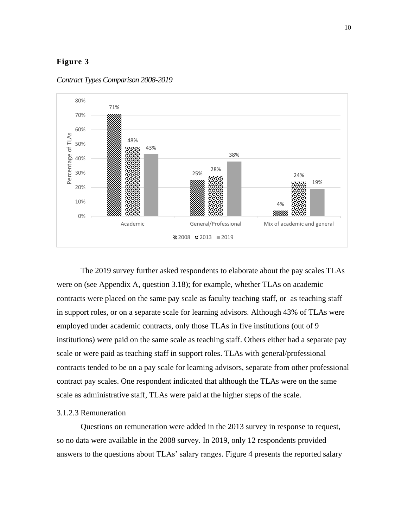

*Contract Types Comparison 2008-2019*

The 2019 survey further asked respondents to elaborate about the pay scales TLAs were on (see Appendix A, question 3.18); for example, whether TLAs on academic contracts were placed on the same pay scale as faculty teaching staff, or as teaching staff in support roles, or on a separate scale for learning advisors. Although 43% of TLAs were employed under academic contracts, only those TLAs in five institutions (out of 9 institutions) were paid on the same scale as teaching staff. Others either had a separate pay scale or were paid as teaching staff in support roles. TLAs with general/professional contracts tended to be on a pay scale for learning advisors, separate from other professional contract pay scales. One respondent indicated that although the TLAs were on the same scale as administrative staff, TLAs were paid at the higher steps of the scale.

### 3.1.2.3 Remuneration

Questions on remuneration were added in the 2013 survey in response to request, so no data were available in the 2008 survey. In 2019, only 12 respondents provided answers to the questions about TLAs' salary ranges. Figure 4 presents the reported salary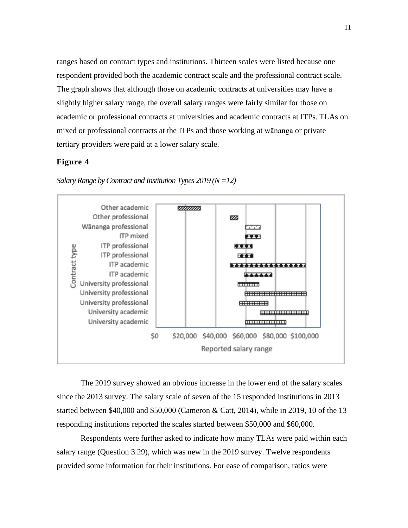ranges based on contract types and institutions. Thirteen scales were listed because one respondent provided both the academic contract scale and the professional contract scale. The graph shows that although those on academic contracts at universities may have a slightly higher salary range, the overall salary ranges were fairly similar for those on academic or professional contracts at universities and academic contracts at ITPs. TLAs on mixed or professional contracts at the ITPs and those working at wānanga or private tertiary providers were paid at a lower salary scale.

# **Figure 4**



*Salary Range by Contract and Institution Types 2019 (N =12)*

The 2019 survey showed an obvious increase in the lower end of the salary scales since the 2013 survey. The salary scale of seven of the 15 responded institutions in 2013 started between \$40,000 and \$50,000 (Cameron & Catt, 2014), while in 2019, 10 of the 13 responding institutions reported the scales started between \$50,000 and \$60,000.

Respondents were further asked to indicate how many TLAs were paid within each salary range (Question 3.29), which was new in the 2019 survey. Twelve respondents provided some information for their institutions. For ease of comparison, ratios were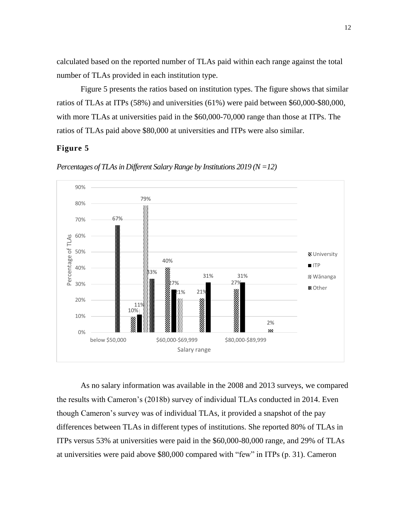calculated based on the reported number of TLAs paid within each range against the total number of TLAs provided in each institution type.

Figure 5 presents the ratios based on institution types. The figure shows that similar ratios of TLAs at ITPs (58%) and universities (61%) were paid between \$60,000-\$80,000, with more TLAs at universities paid in the \$60,000-70,000 range than those at ITPs. The ratios of TLAs paid above \$80,000 at universities and ITPs were also similar.

# **Figure 5**



*Percentages of TLAs in Different Salary Range by Institutions 2019 (N =12)*

As no salary information was available in the 2008 and 2013 surveys, we compared the results with Cameron's (2018b) survey of individual TLAs conducted in 2014. Even though Cameron's survey was of individual TLAs, it provided a snapshot of the pay differences between TLAs in different types of institutions. She reported 80% of TLAs in ITPs versus 53% at universities were paid in the \$60,000-80,000 range, and 29% of TLAs at universities were paid above \$80,000 compared with "few" in ITPs (p. 31). Cameron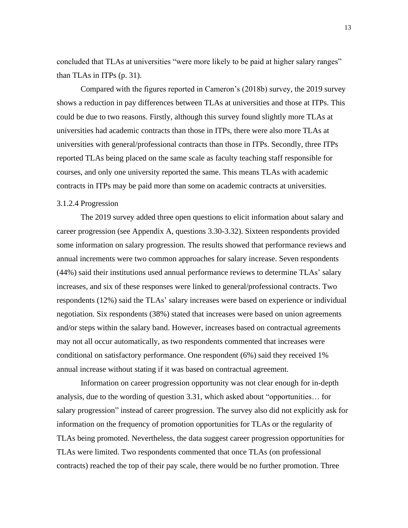concluded that TLAs at universities "were more likely to be paid at higher salary ranges" than TLAs in ITPs (p. 31).

Compared with the figures reported in Cameron's (2018b) survey, the 2019 survey shows a reduction in pay differences between TLAs at universities and those at ITPs. This could be due to two reasons. Firstly, although this survey found slightly more TLAs at universities had academic contracts than those in ITPs, there were also more TLAs at universities with general/professional contracts than those in ITPs. Secondly, three ITPs reported TLAs being placed on the same scale as faculty teaching staff responsible for courses, and only one university reported the same. This means TLAs with academic contracts in ITPs may be paid more than some on academic contracts at universities.

#### 3.1.2.4 Progression

The 2019 survey added three open questions to elicit information about salary and career progression (see Appendix A, questions 3.30-3.32). Sixteen respondents provided some information on salary progression. The results showed that performance reviews and annual increments were two common approaches for salary increase. Seven respondents (44%) said their institutions used annual performance reviews to determine TLAs' salary increases, and six of these responses were linked to general/professional contracts. Two respondents (12%) said the TLAs' salary increases were based on experience or individual negotiation. Six respondents (38%) stated that increases were based on union agreements and/or steps within the salary band. However, increases based on contractual agreements may not all occur automatically, as two respondents commented that increases were conditional on satisfactory performance. One respondent (6%) said they received 1% annual increase without stating if it was based on contractual agreement.

Information on career progression opportunity was not clear enough for in-depth analysis, due to the wording of question 3.31, which asked about "opportunities… for salary progression" instead of career progression. The survey also did not explicitly ask for information on the frequency of promotion opportunities for TLAs or the regularity of TLAs being promoted. Nevertheless, the data suggest career progression opportunities for TLAs were limited. Two respondents commented that once TLAs (on professional contracts) reached the top of their pay scale, there would be no further promotion. Three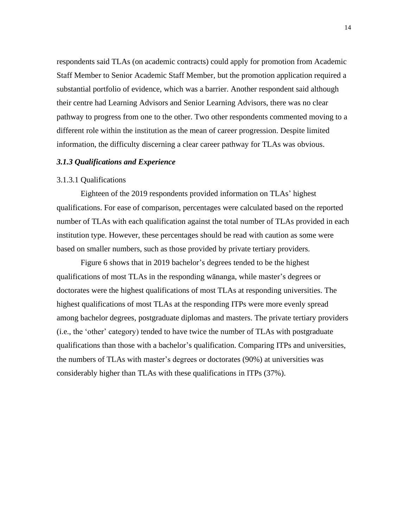respondents said TLAs (on academic contracts) could apply for promotion from Academic Staff Member to Senior Academic Staff Member, but the promotion application required a substantial portfolio of evidence, which was a barrier. Another respondent said although their centre had Learning Advisors and Senior Learning Advisors, there was no clear pathway to progress from one to the other. Two other respondents commented moving to a different role within the institution as the mean of career progression. Despite limited information, the difficulty discerning a clear career pathway for TLAs was obvious.

#### *3.1.3 Qualifications and Experience*

#### 3.1.3.1 Qualifications

Eighteen of the 2019 respondents provided information on TLAs' highest qualifications. For ease of comparison, percentages were calculated based on the reported number of TLAs with each qualification against the total number of TLAs provided in each institution type. However, these percentages should be read with caution as some were based on smaller numbers, such as those provided by private tertiary providers.

Figure 6 shows that in 2019 bachelor's degrees tended to be the highest qualifications of most TLAs in the responding wānanga, while master's degrees or doctorates were the highest qualifications of most TLAs at responding universities. The highest qualifications of most TLAs at the responding ITPs were more evenly spread among bachelor degrees, postgraduate diplomas and masters. The private tertiary providers (i.e., the 'other' category) tended to have twice the number of TLAs with postgraduate qualifications than those with a bachelor's qualification. Comparing ITPs and universities, the numbers of TLAs with master's degrees or doctorates (90%) at universities was considerably higher than TLAs with these qualifications in ITPs (37%).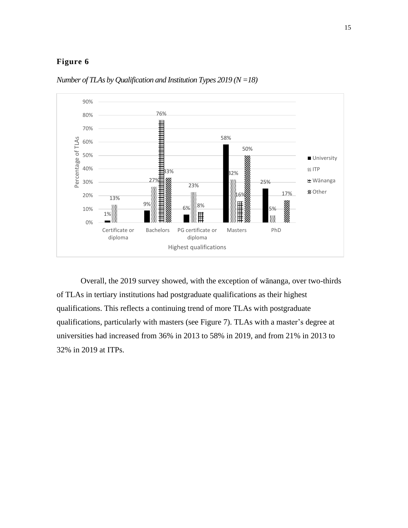

*Number of TLAs by Qualification and Institution Types 2019 (N =18)*

Overall, the 2019 survey showed, with the exception of wānanga, over two-thirds of TLAs in tertiary institutions had postgraduate qualifications as their highest qualifications. This reflects a continuing trend of more TLAs with postgraduate qualifications, particularly with masters (see Figure 7). TLAs with a master's degree at universities had increased from 36% in 2013 to 58% in 2019, and from 21% in 2013 to 32% in 2019 at ITPs.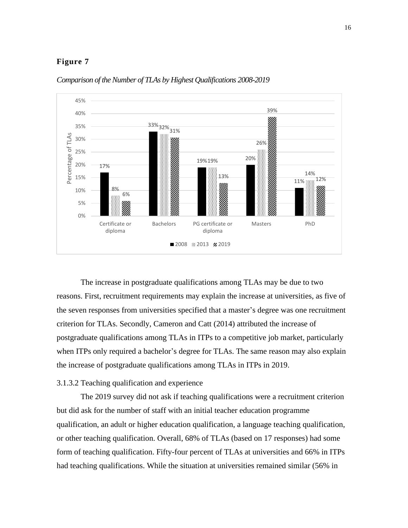

*Comparison of the Number of TLAs by Highest Qualifications 2008-2019* 

The increase in postgraduate qualifications among TLAs may be due to two reasons. First, recruitment requirements may explain the increase at universities, as five of the seven responses from universities specified that a master's degree was one recruitment criterion for TLAs. Secondly, Cameron and Catt (2014) attributed the increase of postgraduate qualifications among TLAs in ITPs to a competitive job market, particularly when ITPs only required a bachelor's degree for TLAs. The same reason may also explain the increase of postgraduate qualifications among TLAs in ITPs in 2019.

## 3.1.3.2 Teaching qualification and experience

The 2019 survey did not ask if teaching qualifications were a recruitment criterion but did ask for the number of staff with an initial teacher education programme qualification, an adult or higher education qualification, a language teaching qualification, or other teaching qualification. Overall, 68% of TLAs (based on 17 responses) had some form of teaching qualification. Fifty-four percent of TLAs at universities and 66% in ITPs had teaching qualifications. While the situation at universities remained similar (56% in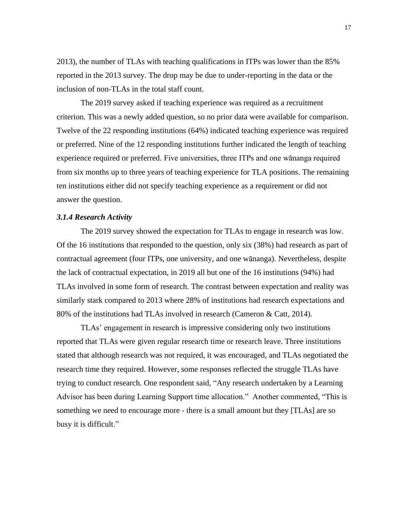2013), the number of TLAs with teaching qualifications in ITPs was lower than the 85% reported in the 2013 survey. The drop may be due to under-reporting in the data or the inclusion of non-TLAs in the total staff count.

The 2019 survey asked if teaching experience was required as a recruitment criterion. This was a newly added question, so no prior data were available for comparison. Twelve of the 22 responding institutions (64%) indicated teaching experience was required or preferred. Nine of the 12 responding institutions further indicated the length of teaching experience required or preferred. Five universities, three ITPs and one wānanga required from six months up to three years of teaching experience for TLA positions. The remaining ten institutions either did not specify teaching experience as a requirement or did not answer the question.

## *3.1.4 Research Activity*

The 2019 survey showed the expectation for TLAs to engage in research was low. Of the 16 institutions that responded to the question, only six (38%) had research as part of contractual agreement (four ITPs, one university, and one wānanga). Nevertheless, despite the lack of contractual expectation, in 2019 all but one of the 16 institutions (94%) had TLAs involved in some form of research. The contrast between expectation and reality was similarly stark compared to 2013 where 28% of institutions had research expectations and 80% of the institutions had TLAs involved in research (Cameron & Catt, 2014).

TLAs' engagement in research is impressive considering only two institutions reported that TLAs were given regular research time or research leave. Three institutions stated that although research was not required, it was encouraged, and TLAs negotiated the research time they required. However, some responses reflected the struggle TLAs have trying to conduct research. One respondent said, "Any research undertaken by a Learning Advisor has been during Learning Support time allocation." Another commented, "This is something we need to encourage more - there is a small amount but they [TLAs] are so busy it is difficult."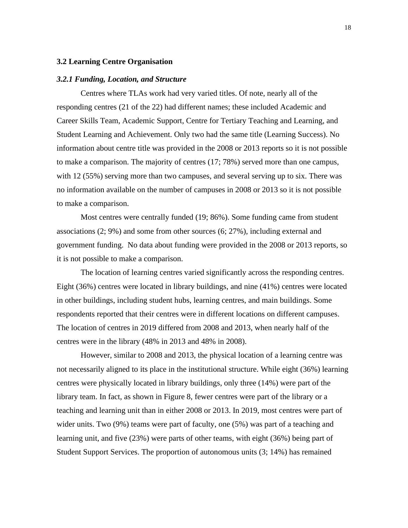#### **3.2 Learning Centre Organisation**

#### *3.2.1 Funding, Location, and Structure*

Centres where TLAs work had very varied titles. Of note, nearly all of the responding centres (21 of the 22) had different names; these included Academic and Career Skills Team, Academic Support, Centre for Tertiary Teaching and Learning, and Student Learning and Achievement. Only two had the same title (Learning Success). No information about centre title was provided in the 2008 or 2013 reports so it is not possible to make a comparison. The majority of centres (17; 78%) served more than one campus, with 12 (55%) serving more than two campuses, and several serving up to six. There was no information available on the number of campuses in 2008 or 2013 so it is not possible to make a comparison.

Most centres were centrally funded (19; 86%). Some funding came from student associations (2; 9%) and some from other sources (6; 27%), including external and government funding. No data about funding were provided in the 2008 or 2013 reports, so it is not possible to make a comparison.

The location of learning centres varied significantly across the responding centres. Eight (36%) centres were located in library buildings, and nine (41%) centres were located in other buildings, including student hubs, learning centres, and main buildings. Some respondents reported that their centres were in different locations on different campuses. The location of centres in 2019 differed from 2008 and 2013, when nearly half of the centres were in the library (48% in 2013 and 48% in 2008).

However, similar to 2008 and 2013, the physical location of a learning centre was not necessarily aligned to its place in the institutional structure. While eight (36%) learning centres were physically located in library buildings, only three (14%) were part of the library team. In fact, as shown in Figure 8, fewer centres were part of the library or a teaching and learning unit than in either 2008 or 2013. In 2019, most centres were part of wider units. Two (9%) teams were part of faculty, one (5%) was part of a teaching and learning unit, and five (23%) were parts of other teams, with eight (36%) being part of Student Support Services. The proportion of autonomous units (3; 14%) has remained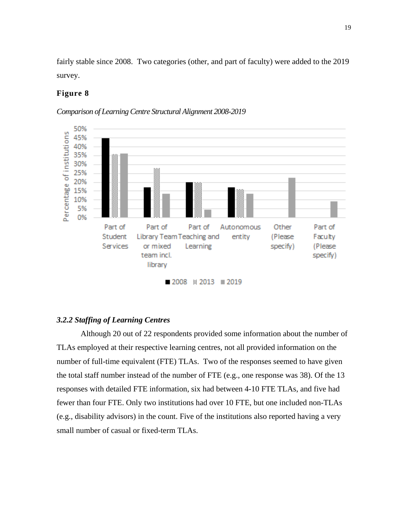fairly stable since 2008. Two categories (other, and part of faculty) were added to the 2019 survey.

## **Figure 8**

*Comparison of Learning Centre Structural Alignment 2008-2019* 



# *3.2.2 Staffing of Learning Centres*

Although 20 out of 22 respondents provided some information about the number of TLAs employed at their respective learning centres, not all provided information on the number of full-time equivalent (FTE) TLAs. Two of the responses seemed to have given the total staff number instead of the number of FTE (e.g., one response was 38). Of the 13 responses with detailed FTE information, six had between 4-10 FTE TLAs, and five had fewer than four FTE. Only two institutions had over 10 FTE, but one included non-TLAs (e.g., disability advisors) in the count. Five of the institutions also reported having a very small number of casual or fixed-term TLAs.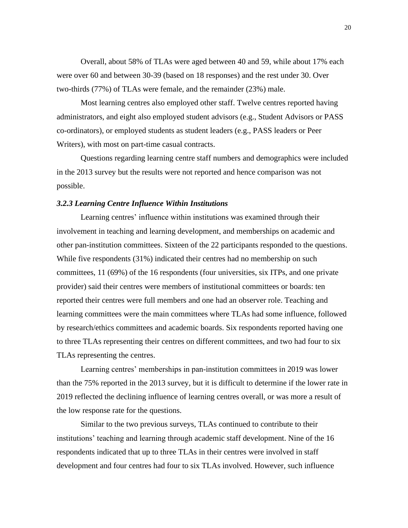Overall, about 58% of TLAs were aged between 40 and 59, while about 17% each were over 60 and between 30-39 (based on 18 responses) and the rest under 30. Over two-thirds (77%) of TLAs were female, and the remainder (23%) male.

Most learning centres also employed other staff. Twelve centres reported having administrators, and eight also employed student advisors (e.g., Student Advisors or PASS co-ordinators), or employed students as student leaders (e.g., PASS leaders or Peer Writers), with most on part-time casual contracts.

Questions regarding learning centre staff numbers and demographics were included in the 2013 survey but the results were not reported and hence comparison was not possible.

#### *3.2.3 Learning Centre Influence Within Institutions*

Learning centres' influence within institutions was examined through their involvement in teaching and learning development, and memberships on academic and other pan-institution committees. Sixteen of the 22 participants responded to the questions. While five respondents (31%) indicated their centres had no membership on such committees, 11 (69%) of the 16 respondents (four universities, six ITPs, and one private provider) said their centres were members of institutional committees or boards: ten reported their centres were full members and one had an observer role. Teaching and learning committees were the main committees where TLAs had some influence, followed by research/ethics committees and academic boards. Six respondents reported having one to three TLAs representing their centres on different committees, and two had four to six TLAs representing the centres.

Learning centres' memberships in pan-institution committees in 2019 was lower than the 75% reported in the 2013 survey, but it is difficult to determine if the lower rate in 2019 reflected the declining influence of learning centres overall, or was more a result of the low response rate for the questions.

Similar to the two previous surveys, TLAs continued to contribute to their institutions' teaching and learning through academic staff development. Nine of the 16 respondents indicated that up to three TLAs in their centres were involved in staff development and four centres had four to six TLAs involved. However, such influence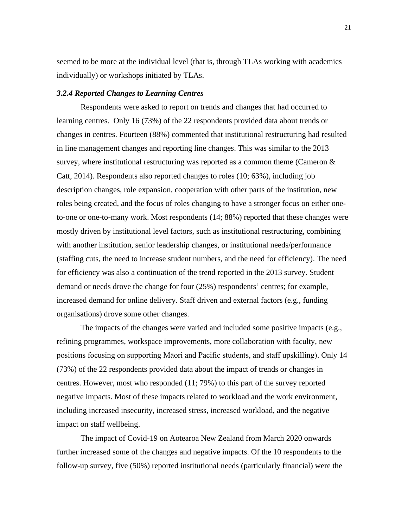seemed to be more at the individual level (that is, through TLAs working with academics individually) or workshops initiated by TLAs.

#### *3.2.4 Reported Changes to Learning Centres*

Respondents were asked to report on trends and changes that had occurred to learning centres. Only 16 (73%) of the 22 respondents provided data about trends or changes in centres. Fourteen (88%) commented that institutional restructuring had resulted in line management changes and reporting line changes. This was similar to the 2013 survey, where institutional restructuring was reported as a common theme (Cameron  $\&$ Catt, 2014). Respondents also reported changes to roles (10; 63%), including job description changes, role expansion, cooperation with other parts of the institution, new roles being created, and the focus of roles changing to have a stronger focus on either oneto-one or one-to-many work. Most respondents (14; 88%) reported that these changes were mostly driven by institutional level factors, such as institutional restructuring, combining with another institution, senior leadership changes, or institutional needs/performance (staffing cuts, the need to increase student numbers, and the need for efficiency). The need for efficiency was also a continuation of the trend reported in the 2013 survey. Student demand or needs drove the change for four (25%) respondents' centres; for example, increased demand for online delivery. Staff driven and external factors (e.g., funding organisations) drove some other changes.

The impacts of the changes were varied and included some positive impacts (e.g., refining programmes, workspace improvements, more collaboration with faculty, new positions focusing on supporting Māori and Pacific students, and staff upskilling). Only 14 (73%) of the 22 respondents provided data about the impact of trends or changes in centres. However, most who responded (11; 79%) to this part of the survey reported negative impacts. Most of these impacts related to workload and the work environment, including increased insecurity, increased stress, increased workload, and the negative impact on staff wellbeing.

The impact of Covid-19 on Aotearoa New Zealand from March 2020 onwards further increased some of the changes and negative impacts. Of the 10 respondents to the follow-up survey, five (50%) reported institutional needs (particularly financial) were the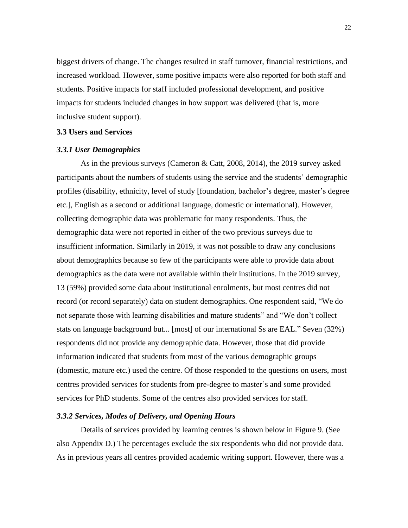biggest drivers of change. The changes resulted in staff turnover, financial restrictions, and increased workload. However, some positive impacts were also reported for both staff and students. Positive impacts for staff included professional development, and positive impacts for students included changes in how support was delivered (that is, more inclusive student support).

## **3.3 Users and** S**ervices**

## *3.3.1 User Demographics*

As in the previous surveys (Cameron & Catt, 2008, 2014), the 2019 survey asked participants about the numbers of students using the service and the students' demographic profiles (disability, ethnicity, level of study [foundation, bachelor's degree, master's degree etc.], English as a second or additional language, domestic or international). However, collecting demographic data was problematic for many respondents. Thus, the demographic data were not reported in either of the two previous surveys due to insufficient information. Similarly in 2019, it was not possible to draw any conclusions about demographics because so few of the participants were able to provide data about demographics as the data were not available within their institutions. In the 2019 survey, 13 (59%) provided some data about institutional enrolments, but most centres did not record (or record separately) data on student demographics. One respondent said, "We do not separate those with learning disabilities and mature students" and "We don't collect stats on language background but... [most] of our international Ss are EAL." Seven (32%) respondents did not provide any demographic data. However, those that did provide information indicated that students from most of the various demographic groups (domestic, mature etc.) used the centre. Of those responded to the questions on users, most centres provided services for students from pre-degree to master's and some provided services for PhD students. Some of the centres also provided services for staff.

#### *3.3.2 Services, Modes of Delivery, and Opening Hours*

Details of services provided by learning centres is shown below in Figure 9. (See also Appendix D.) The percentages exclude the six respondents who did not provide data. As in previous years all centres provided academic writing support. However, there was a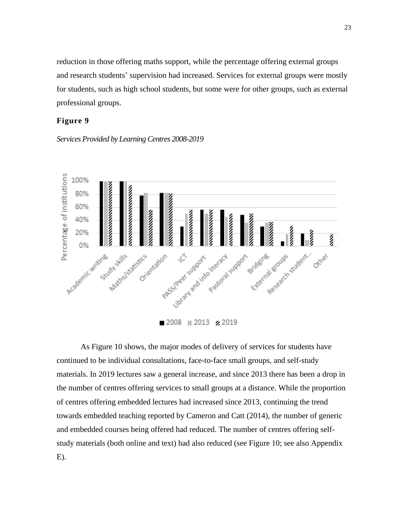reduction in those offering maths support, while the percentage offering external groups and research students' supervision had increased. Services for external groups were mostly for students, such as high school students, but some were for other groups, such as external professional groups.

# **Figure 9**

*Services Provided by Learning Centres 2008-2019*



As Figure 10 shows, the major modes of delivery of services for students have continued to be individual consultations, face-to-face small groups, and self-study materials. In 2019 lectures saw a general increase, and since 2013 there has been a drop in the number of centres offering services to small groups at a distance. While the proportion of centres offering embedded lectures had increased since 2013, continuing the trend towards embedded teaching reported by Cameron and Catt (2014), the number of generic and embedded courses being offered had reduced. The number of centres offering selfstudy materials (both online and text) had also reduced (see Figure 10; see also Appendix E).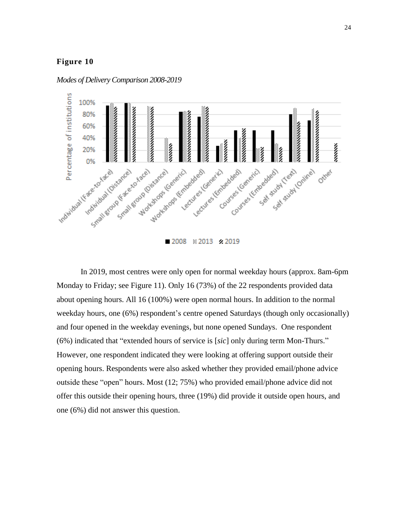

*Modes of Delivery Comparison 2008-2019*

In 2019, most centres were only open for normal weekday hours (approx. 8am-6pm Monday to Friday; see Figure 11). Only 16 (73%) of the 22 respondents provided data about opening hours. All 16 (100%) were open normal hours. In addition to the normal weekday hours, one (6%) respondent's centre opened Saturdays (though only occasionally) and four opened in the weekday evenings, but none opened Sundays. One respondent (6%) indicated that "extended hours of service is [*sic*] only during term Mon-Thurs." However, one respondent indicated they were looking at offering support outside their opening hours. Respondents were also asked whether they provided email/phone advice outside these "open" hours. Most (12; 75%) who provided email/phone advice did not offer this outside their opening hours, three (19%) did provide it outside open hours, and one (6%) did not answer this question.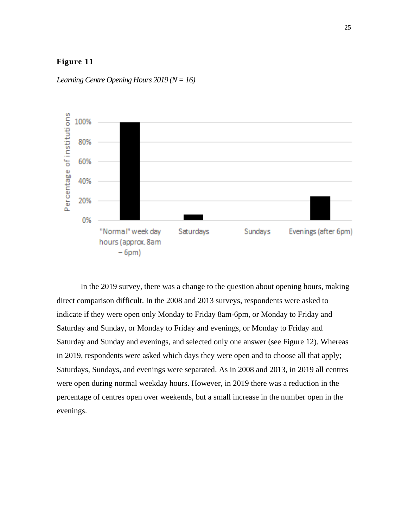

*Learning Centre Opening Hours 2019 (N = 16)*

In the 2019 survey, there was a change to the question about opening hours, making direct comparison difficult. In the 2008 and 2013 surveys, respondents were asked to indicate if they were open only Monday to Friday 8am-6pm, or Monday to Friday and Saturday and Sunday, or Monday to Friday and evenings, or Monday to Friday and Saturday and Sunday and evenings, and selected only one answer (see Figure 12). Whereas in 2019, respondents were asked which days they were open and to choose all that apply; Saturdays, Sundays, and evenings were separated. As in 2008 and 2013, in 2019 all centres were open during normal weekday hours. However, in 2019 there was a reduction in the percentage of centres open over weekends, but a small increase in the number open in the evenings.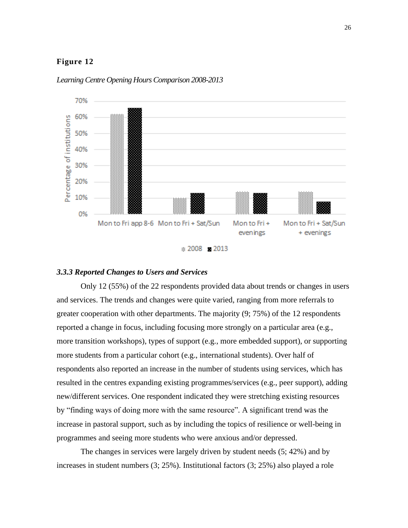

*Learning Centre Opening Hours Comparison 2008-2013*

#### *3.3.3 Reported Changes to Users and Services*

Only 12 (55%) of the 22 respondents provided data about trends or changes in users and services. The trends and changes were quite varied, ranging from more referrals to greater cooperation with other departments. The majority (9; 75%) of the 12 respondents reported a change in focus, including focusing more strongly on a particular area (e.g., more transition workshops), types of support (e.g., more embedded support), or supporting more students from a particular cohort (e.g., international students). Over half of respondents also reported an increase in the number of students using services, which has resulted in the centres expanding existing programmes/services (e.g., peer support), adding new/different services. One respondent indicated they were stretching existing resources by "finding ways of doing more with the same resource". A significant trend was the increase in pastoral support, such as by including the topics of resilience or well-being in programmes and seeing more students who were anxious and/or depressed.

The changes in services were largely driven by student needs (5; 42%) and by increases in student numbers (3; 25%). Institutional factors (3; 25%) also played a role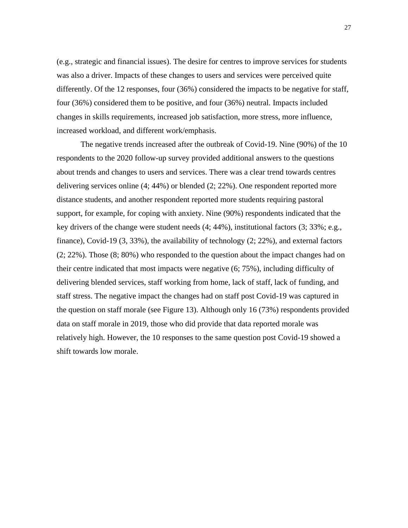(e.g., strategic and financial issues). The desire for centres to improve services for students was also a driver. Impacts of these changes to users and services were perceived quite differently. Of the 12 responses, four (36%) considered the impacts to be negative for staff, four (36%) considered them to be positive, and four (36%) neutral. Impacts included changes in skills requirements, increased job satisfaction, more stress, more influence, increased workload, and different work/emphasis.

The negative trends increased after the outbreak of Covid-19. Nine (90%) of the 10 respondents to the 2020 follow-up survey provided additional answers to the questions about trends and changes to users and services. There was a clear trend towards centres delivering services online (4; 44%) or blended (2; 22%). One respondent reported more distance students, and another respondent reported more students requiring pastoral support, for example, for coping with anxiety. Nine (90%) respondents indicated that the key drivers of the change were student needs (4; 44%), institutional factors (3; 33%; e.g., finance), Covid-19 (3, 33%), the availability of technology (2; 22%), and external factors (2; 22%). Those (8; 80%) who responded to the question about the impact changes had on their centre indicated that most impacts were negative (6; 75%), including difficulty of delivering blended services, staff working from home, lack of staff, lack of funding, and staff stress. The negative impact the changes had on staff post Covid-19 was captured in the question on staff morale (see Figure 13). Although only 16 (73%) respondents provided data on staff morale in 2019, those who did provide that data reported morale was relatively high. However, the 10 responses to the same question post Covid-19 showed a shift towards low morale.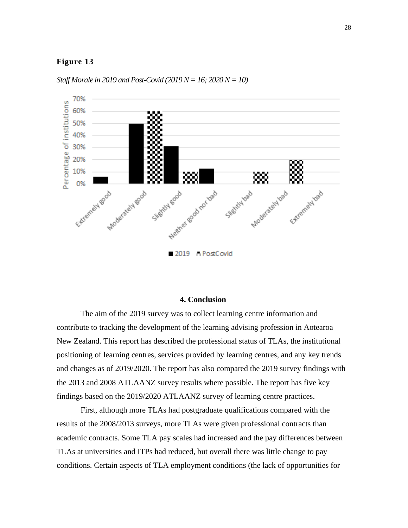

*Staff Morale in 2019 and Post-Covid (2019 N = 16; 2020 N = 10)*

#### **4. Conclusion**

The aim of the 2019 survey was to collect learning centre information and contribute to tracking the development of the learning advising profession in Aotearoa New Zealand. This report has described the professional status of TLAs, the institutional positioning of learning centres, services provided by learning centres, and any key trends and changes as of 2019/2020. The report has also compared the 2019 survey findings with the 2013 and 2008 ATLAANZ survey results where possible. The report has five key findings based on the 2019/2020 ATLAANZ survey of learning centre practices.

First, although more TLAs had postgraduate qualifications compared with the results of the 2008/2013 surveys, more TLAs were given professional contracts than academic contracts. Some TLA pay scales had increased and the pay differences between TLAs at universities and ITPs had reduced, but overall there was little change to pay conditions. Certain aspects of TLA employment conditions (the lack of opportunities for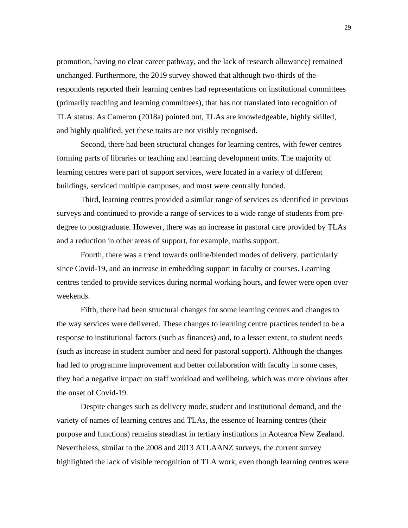promotion, having no clear career pathway, and the lack of research allowance) remained unchanged. Furthermore, the 2019 survey showed that although two-thirds of the respondents reported their learning centres had representations on institutional committees (primarily teaching and learning committees), that has not translated into recognition of TLA status. As Cameron (2018a) pointed out, TLAs are knowledgeable, highly skilled, and highly qualified, yet these traits are not visibly recognised.

Second, there had been structural changes for learning centres, with fewer centres forming parts of libraries or teaching and learning development units. The majority of learning centres were part of support services, were located in a variety of different buildings, serviced multiple campuses, and most were centrally funded.

Third, learning centres provided a similar range of services as identified in previous surveys and continued to provide a range of services to a wide range of students from predegree to postgraduate. However, there was an increase in pastoral care provided by TLAs and a reduction in other areas of support, for example, maths support.

Fourth, there was a trend towards online/blended modes of delivery, particularly since Covid-19, and an increase in embedding support in faculty or courses. Learning centres tended to provide services during normal working hours, and fewer were open over weekends.

Fifth, there had been structural changes for some learning centres and changes to the way services were delivered. These changes to learning centre practices tended to be a response to institutional factors (such as finances) and, to a lesser extent, to student needs (such as increase in student number and need for pastoral support). Although the changes had led to programme improvement and better collaboration with faculty in some cases, they had a negative impact on staff workload and wellbeing, which was more obvious after the onset of Covid-19.

Despite changes such as delivery mode, student and institutional demand, and the variety of names of learning centres and TLAs, the essence of learning centres (their purpose and functions) remains steadfast in tertiary institutions in Aotearoa New Zealand. Nevertheless, similar to the 2008 and 2013 ATLAANZ surveys, the current survey highlighted the lack of visible recognition of TLA work, even though learning centres were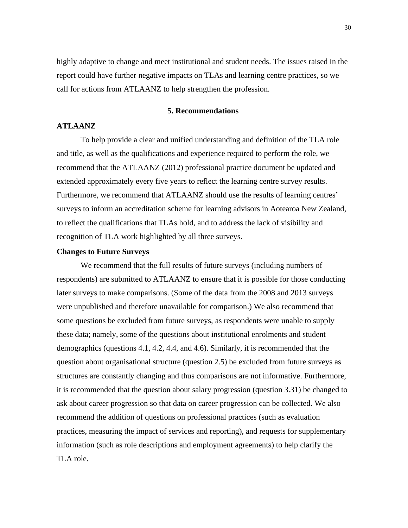highly adaptive to change and meet institutional and student needs. The issues raised in the report could have further negative impacts on TLAs and learning centre practices, so we call for actions from ATLAANZ to help strengthen the profession.

#### **5. Recommendations**

### **ATLAANZ**

To help provide a clear and unified understanding and definition of the TLA role and title, as well as the qualifications and experience required to perform the role, we recommend that the ATLAANZ (2012) professional practice document be updated and extended approximately every five years to reflect the learning centre survey results. Furthermore, we recommend that ATLAANZ should use the results of learning centres' surveys to inform an accreditation scheme for learning advisors in Aotearoa New Zealand, to reflect the qualifications that TLAs hold, and to address the lack of visibility and recognition of TLA work highlighted by all three surveys.

#### **Changes to Future Surveys**

We recommend that the full results of future surveys (including numbers of respondents) are submitted to ATLAANZ to ensure that it is possible for those conducting later surveys to make comparisons. (Some of the data from the 2008 and 2013 surveys were unpublished and therefore unavailable for comparison.) We also recommend that some questions be excluded from future surveys, as respondents were unable to supply these data; namely, some of the questions about institutional enrolments and student demographics (questions 4.1, 4.2, 4.4, and 4.6). Similarly, it is recommended that the question about organisational structure (question 2.5) be excluded from future surveys as structures are constantly changing and thus comparisons are not informative. Furthermore, it is recommended that the question about salary progression (question 3.31) be changed to ask about career progression so that data on career progression can be collected. We also recommend the addition of questions on professional practices (such as evaluation practices, measuring the impact of services and reporting), and requests for supplementary information (such as role descriptions and employment agreements) to help clarify the TLA role.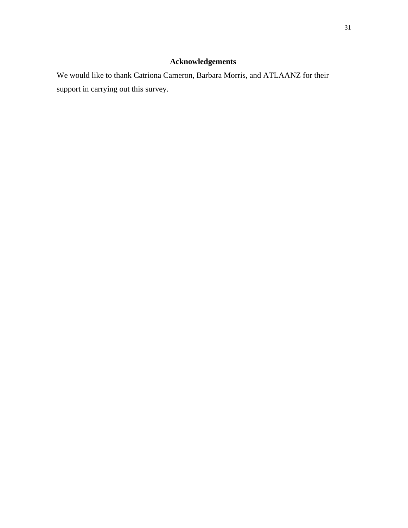# **Acknowledgements**

We would like to thank Catriona Cameron, Barbara Morris, and ATLAANZ for their support in carrying out this survey.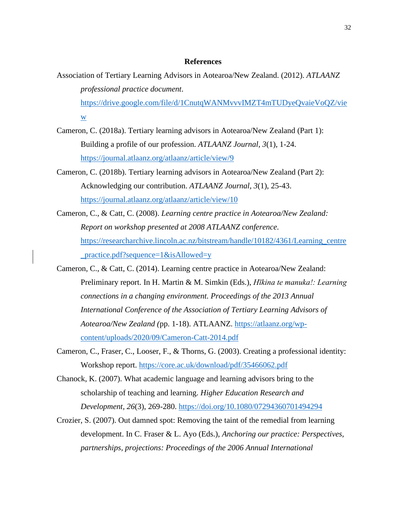## **References**

- Association of Tertiary Learning Advisors in Aotearoa/New Zealand. (2012). *ATLAANZ professional practice document*. https://drive.google.com/file/d/1CnutqWANMvvvIMZT4mTUDyeQvaieVoQZ/vie w
- Cameron, C. (2018a). Tertiary learning advisors in Aotearoa/New Zealand (Part 1): Building a profile of our profession. *ATLAANZ Journal, 3*(1), 1-24. <https://journal.atlaanz.org/atlaanz/article/view/9>
- Cameron, C. (2018b). Tertiary learning advisors in Aotearoa/New Zealand [\(Part 2\):](https://journal.atlaanz.org/index.php/ATLAANZ/article/view/55)  [Acknowledging our contribution.](https://journal.atlaanz.org/index.php/ATLAANZ/article/view/55) *ATLAANZ Journal, 3*(1), 25-43. <https://journal.atlaanz.org/atlaanz/article/view/10>
- Cameron, C., & Catt, C. (2008). *Learning centre practice in Aotearoa/New Zealand: Report on workshop presented at 2008 ATLAANZ conference.*  [https://researcharchive.lincoln.ac.nz/bitstream/handle/10182/4361/Learning\\_centre](https://researcharchive.lincoln.ac.nz/bitstream/handle/10182/4361/Learning_centre_practice.pdf?sequence=1&isAllowed=y) [\\_practice.pdf?sequence=1&isAllowed=y](https://researcharchive.lincoln.ac.nz/bitstream/handle/10182/4361/Learning_centre_practice.pdf?sequence=1&isAllowed=y)
- Cameron, C., & Catt, C. (2014). Learning centre practice in Aotearoa/New Zealand: Preliminary report. In H. Martin & M. Simkin (Eds.), *Hīkina te manuka!: Learning connections in a changing environment. Proceedings of the 2013 Annual International Conference of the Association of Tertiary Learning Advisors of Aotearoa/New Zealand (*pp. 1-18). ATLAANZ. [https://atlaanz.org/wp](https://atlaanz.org/wp-content/uploads/2020/09/Cameron-Catt-2014.pdf)[content/uploads/2020/09/Cameron-Catt-2014.pdf](https://atlaanz.org/wp-content/uploads/2020/09/Cameron-Catt-2014.pdf)
- Cameron, C., Fraser, C., Looser, F., & Thorns, G. (2003). Creating a professional identity: Workshop report. <https://core.ac.uk/download/pdf/35466062.pdf>
- Chanock, K. (2007). What academic language and learning advisors bring to the scholarship of teaching and learning. *Higher Education Research and Development, 26*(3), 269-280.<https://doi.org/10.1080/07294360701494294>
- Crozier, S. (2007). Out damned spot: Removing the taint of the remedial from learning development. In C. Fraser & L. Ayo (Eds.), *Anchoring our practice: Perspectives, partnerships, projections: Proceedings of the 2006 Annual International*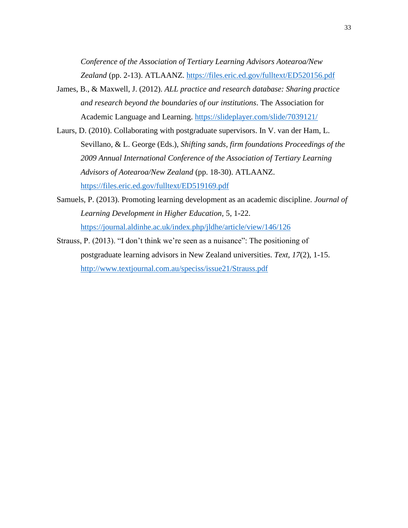*Conference of the Association of Tertiary Learning Advisors Aotearoa/New*  Zealand (pp. 2-13). ATLAANZ.<https://files.eric.ed.gov/fulltext/ED520156.pdf>

- James, B., & Maxwell, J. (2012). *ALL practice and research database: Sharing practice and research beyond the boundaries of our institutions*. The Association for Academic Language and Learning. https://slideplayer.com/slide/7039121/
- Laurs, D. (2010). Collaborating with postgraduate supervisors. In V. van der Ham, L. Sevillano, & L. George (Eds.), *Shifting sands, firm foundations Proceedings of the 2009 Annual International Conference of the Association of Tertiary Learning Advisors of Aotearoa/New Zealand* (pp. 18-30). ATLAANZ. <https://files.eric.ed.gov/fulltext/ED519169.pdf>
- Samuels, P. (2013). Promoting learning development as an academic discipline. *Journal of Learning Development in Higher Education,* 5, 1-22. <https://journal.aldinhe.ac.uk/index.php/jldhe/article/view/146/126>
- Strauss, P. (2013). "I don't think we're seen as a nuisance": The positioning of postgraduate learning advisors in New Zealand universities. *Text, 17*(2), 1-15. <http://www.textjournal.com.au/speciss/issue21/Strauss.pdf>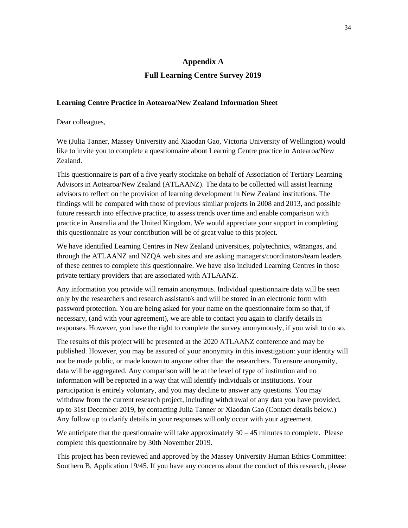#### **Appendix A**

### **Full Learning Centre Survey 2019**

## **Learning Centre Practice in Aotearoa/New Zealand Information Sheet**

Dear colleagues,

We (Julia Tanner, Massey University and Xiaodan Gao, Victoria University of Wellington) would like to invite you to complete a questionnaire about Learning Centre practice in Aotearoa/New Zealand.

This questionnaire is part of a five yearly stocktake on behalf of Association of Tertiary Learning Advisors in Aotearoa/New Zealand (ATLAANZ). The data to be collected will assist learning advisors to reflect on the provision of learning development in New Zealand institutions. The findings will be compared with those of previous similar projects in 2008 and 2013, and possible future research into effective practice, to assess trends over time and enable comparison with practice in Australia and the United Kingdom. We would appreciate your support in completing this questionnaire as your contribution will be of great value to this project.

We have identified Learning Centres in New Zealand universities, polytechnics, wānangas, and through the ATLAANZ and NZQA web sites and are asking managers/coordinators/team leaders of these centres to complete this questionnaire. We have also included Learning Centres in those private tertiary providers that are associated with ATLAANZ.

Any information you provide will remain anonymous. Individual questionnaire data will be seen only by the researchers and research assistant/s and will be stored in an electronic form with password protection. You are being asked for your name on the questionnaire form so that, if necessary, (and with your agreement), we are able to contact you again to clarify details in responses. However, you have the right to complete the survey anonymously, if you wish to do so.

The results of this project will be presented at the 2020 ATLAANZ conference and may be published. However, you may be assured of your anonymity in this investigation: your identity will not be made public, or made known to anyone other than the researchers. To ensure anonymity, data will be aggregated. Any comparison will be at the level of type of institution and no information will be reported in a way that will identify individuals or institutions. Your participation is entirely voluntary, and you may decline to answer any questions. You may withdraw from the current research project, including withdrawal of any data you have provided, up to 31st December 2019, by contacting Julia Tanner or Xiaodan Gao (Contact details below.) Any follow up to clarify details in your responses will only occur with your agreement.

We anticipate that the questionnaire will take approximately  $30 - 45$  minutes to complete. Please complete this questionnaire by 30th November 2019.

This project has been reviewed and approved by the Massey University Human Ethics Committee: Southern B, Application 19/45. If you have any concerns about the conduct of this research, please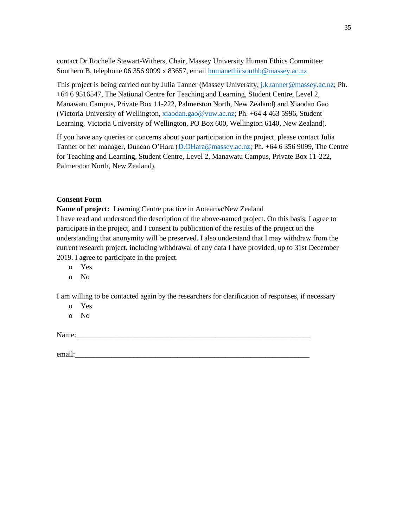contact Dr Rochelle Stewart-Withers, Chair, Massey University Human Ethics Committee: Southern B, telephone 06 356 9099 x 83657, email [humanethicsouthb@massey.ac.nz](mailto:humanethicsouthb@massey.ac.nz)

This project is being carried out by Julia Tanner (Massey University, [j.k.tanner@massey.ac.nz;](mailto:j.k.tanner@massey.ac.nz) Ph. +64 6 9516547, The National Centre for Teaching and Learning, Student Centre, Level 2, Manawatu Campus, Private Box 11-222, Palmerston North, New Zealand) and Xiaodan Gao (Victoria University of Wellington[, xiaodan.gao@vuw.ac.nz;](mailto:xiaodan.gao@vuw.ac.nz) Ph. +64 4 463 5996, Student Learning, Victoria University of Wellington, PO Box 600, Wellington 6140, New Zealand).

If you have any queries or concerns about your participation in the project, please contact Julia Tanner or her manager, Duncan O'Hara [\(D.OHara@massey.ac.nz;](mailto:D.OHara@massey.ac.nz) Ph. +64 6 356 9099, The Centre for Teaching and Learning, Student Centre, Level 2, Manawatu Campus, Private Box 11-222, Palmerston North, New Zealand).

#### **Consent Form**

**Name of project:** Learning Centre practice in Aotearoa/New Zealand I have read and understood the description of the above-named project. On this basis, I agree to participate in the project, and I consent to publication of the results of the project on the understanding that anonymity will be preserved. I also understand that I may withdraw from the current research project, including withdrawal of any data I have provided, up to 31st December 2019. I agree to participate in the project.

- o Yes
- o No

I am willing to be contacted again by the researchers for clarification of responses, if necessary

- o Yes
- o No

Name:

email:\_\_\_\_\_\_\_\_\_\_\_\_\_\_\_\_\_\_\_\_\_\_\_\_\_\_\_\_\_\_\_\_\_\_\_\_\_\_\_\_\_\_\_\_\_\_\_\_\_\_\_\_\_\_\_\_\_\_\_\_\_\_\_\_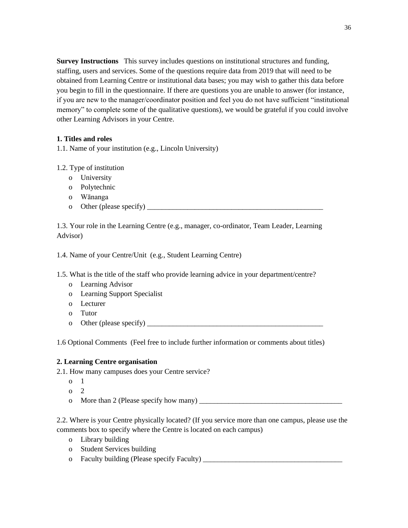**Survey Instructions** This survey includes questions on institutional structures and funding, staffing, users and services. Some of the questions require data from 2019 that will need to be obtained from Learning Centre or institutional data bases; you may wish to gather this data before you begin to fill in the questionnaire. If there are questions you are unable to answer (for instance, if you are new to the manager/coordinator position and feel you do not have sufficient "institutional memory" to complete some of the qualitative questions), we would be grateful if you could involve other Learning Advisors in your Centre.

## **1. Titles and roles**

1.1. Name of your institution (e.g., Lincoln University)

## 1.2. Type of institution

- o University
- o Polytechnic
- o Wānanga
- o Other (please specify)

1.3. Your role in the Learning Centre (e.g., manager, co-ordinator, Team Leader, Learning Advisor)

1.4. Name of your Centre/Unit (e.g., Student Learning Centre)

- 1.5. What is the title of the staff who provide learning advice in your department/centre?
	- o Learning Advisor
	- o Learning Support Specialist
	- o Lecturer
	- o Tutor
	- o Other (please specify)  $\qquad \qquad$

1.6 Optional Comments (Feel free to include further information or comments about titles)

## **2. Learning Centre organisation**

- 2.1. How many campuses does your Centre service?
	- $o<sub>1</sub>$
	- $\Omega$
	- o More than 2 (Please specify how many) \_\_\_\_\_\_\_\_\_\_\_\_\_\_\_\_\_\_\_\_\_\_\_\_\_\_\_\_\_\_\_\_\_\_\_\_\_\_\_

2.2. Where is your Centre physically located? (If you service more than one campus, please use the comments box to specify where the Centre is located on each campus)

- o Library building
- o Student Services building
- o Faculty building (Please specify Faculty) \_\_\_\_\_\_\_\_\_\_\_\_\_\_\_\_\_\_\_\_\_\_\_\_\_\_\_\_\_\_\_\_\_\_\_\_\_\_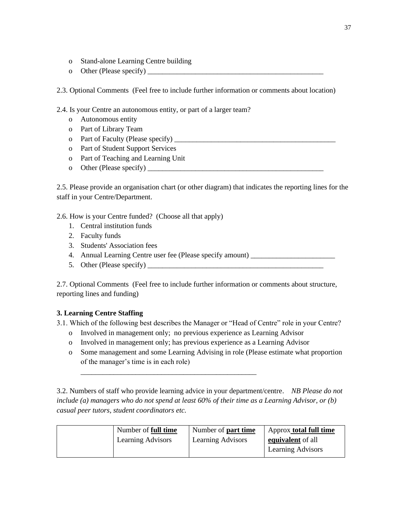- o Stand-alone Learning Centre building
- o Other (Please specify)

2.3. Optional Comments (Feel free to include further information or comments about location)

2.4. Is your Centre an autonomous entity, or part of a larger team?

- o Autonomous entity
- o Part of Library Team
- o Part of Faculty (Please specify)
- o Part of Student Support Services
- o Part of Teaching and Learning Unit
- o Other (Please specify) \_\_\_\_\_\_\_\_\_\_\_\_\_\_\_\_\_\_\_\_\_\_\_\_\_\_\_\_\_\_\_\_\_\_\_\_\_\_\_\_\_\_\_\_\_\_\_\_

2.5. Please provide an organisation chart (or other diagram) that indicates the reporting lines for the staff in your Centre/Department.

2.6. How is your Centre funded? (Choose all that apply)

- 1. Central institution funds
- 2. Faculty funds
- 3. Students' Association fees
- 4. Annual Learning Centre user fee (Please specify amount) \_\_\_\_\_\_\_\_\_\_\_\_\_\_\_\_\_\_\_\_\_
- 5. Other (Please specify)

2.7. Optional Comments (Feel free to include further information or comments about structure, reporting lines and funding)

# **3. Learning Centre Staffing**

3.1. Which of the following best describes the Manager or "Head of Centre" role in your Centre?

o Involved in management only; no previous experience as Learning Advisor

\_\_\_\_\_\_\_\_\_\_\_\_\_\_\_\_\_\_\_\_\_\_\_\_\_\_\_\_\_\_\_\_\_\_\_\_\_\_\_\_\_\_\_\_\_\_\_\_

- o Involved in management only; has previous experience as a Learning Advisor
- o Some management and some Learning Advising in role (Please estimate what proportion of the manager's time is in each role)

3.2. Numbers of staff who provide learning advice in your department/centre. *NB Please do not include (a) managers who do not spend at least 60% of their time as a Learning Advisor, or (b) casual peer tutors, student coordinators etc.*

| Number of <b>full time</b> | Number of <b>part time</b> | Approx <b>total full time</b> |
|----------------------------|----------------------------|-------------------------------|
| <b>Learning Advisors</b>   | <b>Learning Advisors</b>   | equivalent of all             |
|                            |                            | <b>Learning Advisors</b>      |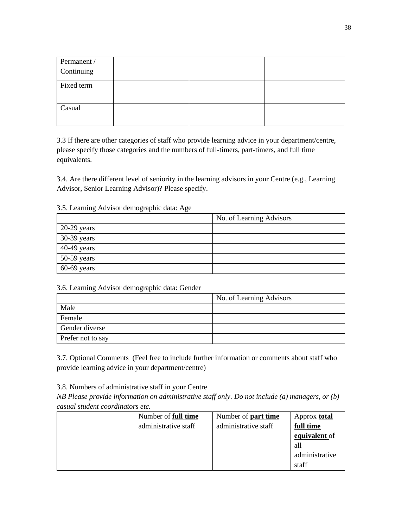| Permanent / |  |  |
|-------------|--|--|
| Continuing  |  |  |
|             |  |  |
| Fixed term  |  |  |
|             |  |  |
|             |  |  |
| Casual      |  |  |
|             |  |  |
|             |  |  |

3.3 If there are other categories of staff who provide learning advice in your department/centre, please specify those categories and the numbers of full-timers, part-timers, and full time equivalents.

3.4. Are there different level of seniority in the learning advisors in your Centre (e.g., Learning Advisor, Senior Learning Advisor)? Please specify.

|  |  |  | 3.5. Learning Advisor demographic data: Age |  |
|--|--|--|---------------------------------------------|--|
|--|--|--|---------------------------------------------|--|

|               | No. of Learning Advisors |
|---------------|--------------------------|
| $20-29$ years |                          |
| 30-39 years   |                          |
| 40-49 years   |                          |
| $50-59$ years |                          |
| $60-69$ years |                          |

## 3.6. Learning Advisor demographic data: Gender

|                   | No. of Learning Advisors |
|-------------------|--------------------------|
| Male              |                          |
| Female            |                          |
| Gender diverse    |                          |
| Prefer not to say |                          |

3.7. Optional Comments (Feel free to include further information or comments about staff who provide learning advice in your department/centre)

3.8. Numbers of administrative staff in your Centre

*NB Please provide information on administrative staff only. Do not include (a) managers, or (b) casual student coordinators etc.*

| Number of <b>full time</b> | Number of <b>part time</b> | Approx <b>total</b> |
|----------------------------|----------------------------|---------------------|
| administrative staff       | administrative staff       | full time           |
|                            |                            | equivalent of       |
|                            |                            | -all                |
|                            |                            | administrative      |
|                            |                            | staff               |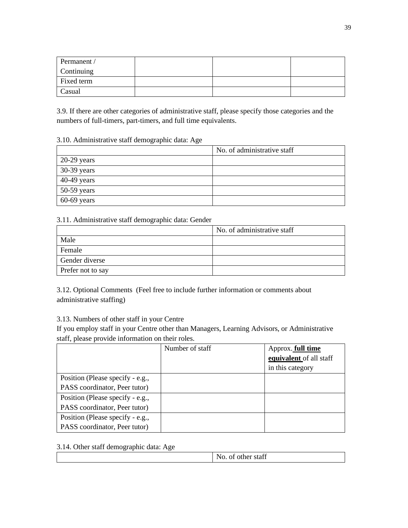| Permanent / |  |  |
|-------------|--|--|
| Continuing  |  |  |
| Fixed term  |  |  |
| Casual      |  |  |

3.9. If there are other categories of administrative staff, please specify those categories and the numbers of full-timers, part-timers, and full time equivalents.

#### 3.10. Administrative staff demographic data: Age

|               | No. of administrative staff |
|---------------|-----------------------------|
| $20-29$ years |                             |
| 30-39 years   |                             |
| $40-49$ years |                             |
| $50-59$ years |                             |
| $60-69$ years |                             |

## 3.11. Administrative staff demographic data: Gender

|                   | No. of administrative staff |
|-------------------|-----------------------------|
| Male              |                             |
| Female            |                             |
| Gender diverse    |                             |
| Prefer not to say |                             |

3.12. Optional Comments (Feel free to include further information or comments about administrative staffing)

# 3.13. Numbers of other staff in your Centre

If you employ staff in your Centre other than Managers, Learning Advisors, or Administrative staff, please provide information on their roles.

|                                  | Number of staff | Approx. full time       |
|----------------------------------|-----------------|-------------------------|
|                                  |                 | equivalent of all staff |
|                                  |                 | in this category        |
| Position (Please specify - e.g., |                 |                         |
| PASS coordinator, Peer tutor)    |                 |                         |
| Position (Please specify - e.g., |                 |                         |
| PASS coordinator, Peer tutor)    |                 |                         |
| Position (Please specify - e.g., |                 |                         |
| PASS coordinator, Peer tutor)    |                 |                         |

3.14. Other staff demographic data: Age

|  |  | No. of other staff |
|--|--|--------------------|
|--|--|--------------------|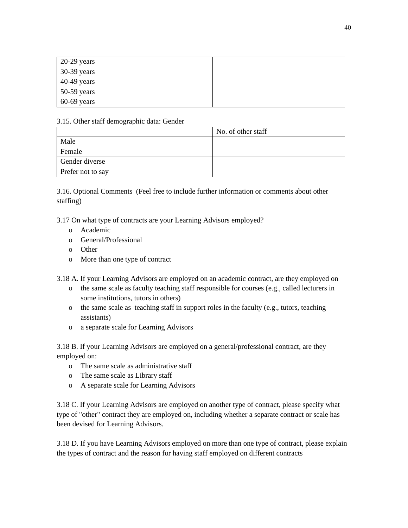| $20-29$ years |  |
|---------------|--|
| 30-39 years   |  |
| $40-49$ years |  |
| $50-59$ years |  |
| $60-69$ years |  |

## 3.15. Other staff demographic data: Gender

|                   | No. of other staff |
|-------------------|--------------------|
| Male              |                    |
| Female            |                    |
| Gender diverse    |                    |
| Prefer not to say |                    |

3.16. Optional Comments (Feel free to include further information or comments about other staffing)

3.17 On what type of contracts are your Learning Advisors employed?

- o Academic
- o General/Professional
- o Other
- o More than one type of contract

3.18 A. If your Learning Advisors are employed on an academic contract, are they employed on

- o the same scale as faculty teaching staff responsible for courses (e.g., called lecturers in some institutions, tutors in others)
- o the same scale as teaching staff in support roles in the faculty (e.g., tutors, teaching assistants)
- o a separate scale for Learning Advisors

3.18 B. If your Learning Advisors are employed on a general/professional contract, are they employed on:

- o The same scale as administrative staff
- o The same scale as Library staff
- o A separate scale for Learning Advisors

3.18 C. If your Learning Advisors are employed on another type of contract, please specify what type of "other" contract they are employed on, including whether a separate contract or scale has been devised for Learning Advisors.

3.18 D. If you have Learning Advisors employed on more than one type of contract, please explain the types of contract and the reason for having staff employed on different contracts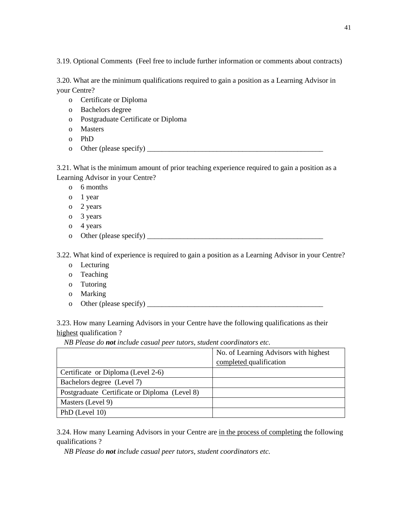3.19. Optional Comments (Feel free to include further information or comments about contracts)

3.20. What are the minimum qualifications required to gain a position as a Learning Advisor in your Centre?

- o Certificate or Diploma
- o Bachelors degree
- o Postgraduate Certificate or Diploma
- o Masters
- o PhD
- o Other (please specify)  $\qquad \qquad$

3.21. What is the minimum amount of prior teaching experience required to gain a position as a Learning Advisor in your Centre?

o 6 months

- o 1 year
- o 2 years
- o 3 years
- o 4 years
- o Other (please specify)  $\qquad$

3.22. What kind of experience is required to gain a position as a Learning Advisor in your Centre?

- o Lecturing
- o Teaching
- o Tutoring
- o Marking
- o Other (please specify)  $\frac{1}{\sqrt{2}}$

3.23. How many Learning Advisors in your Centre have the following qualifications as their highest qualification ?

*NB Please do not include casual peer tutors, student coordinators etc.*

|                                               | No. of Learning Advisors with highest |
|-----------------------------------------------|---------------------------------------|
|                                               | completed qualification               |
| Certificate or Diploma (Level 2-6)            |                                       |
| Bachelors degree (Level 7)                    |                                       |
| Postgraduate Certificate or Diploma (Level 8) |                                       |
| Masters (Level 9)                             |                                       |
| PhD (Level 10)                                |                                       |

3.24. How many Learning Advisors in your Centre are in the process of completing the following qualifications ?

*NB Please do not include casual peer tutors, student coordinators etc.*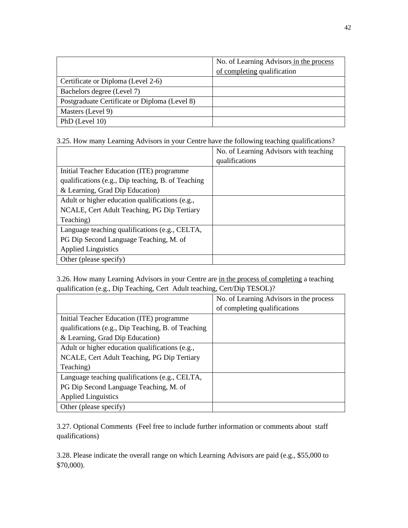|                                               | No. of Learning Advisors in the process<br>of completing qualification |
|-----------------------------------------------|------------------------------------------------------------------------|
| Certificate or Diploma (Level 2-6)            |                                                                        |
| Bachelors degree (Level 7)                    |                                                                        |
| Postgraduate Certificate or Diploma (Level 8) |                                                                        |
| Masters (Level 9)                             |                                                                        |
| PhD (Level 10)                                |                                                                        |

3.25. How many Learning Advisors in your Centre have the following teaching qualifications?

|                                                    | No. of Learning Advisors with teaching |
|----------------------------------------------------|----------------------------------------|
|                                                    | qualifications                         |
| Initial Teacher Education (ITE) programme          |                                        |
| qualifications (e.g., Dip teaching, B. of Teaching |                                        |
| & Learning, Grad Dip Education)                    |                                        |
| Adult or higher education qualifications (e.g.,    |                                        |
| NCALE, Cert Adult Teaching, PG Dip Tertiary        |                                        |
| Teaching)                                          |                                        |
| Language teaching qualifications (e.g., CELTA,     |                                        |
| PG Dip Second Language Teaching, M. of             |                                        |
| <b>Applied Linguistics</b>                         |                                        |
| Other (please specify)                             |                                        |

3.26. How many Learning Advisors in your Centre are in the process of completing a teaching qualification (e.g., Dip Teaching, Cert Adult teaching, Cert/Dip TESOL)?

|                                                    | No. of Learning Advisors in the process |
|----------------------------------------------------|-----------------------------------------|
|                                                    | of completing qualifications            |
| Initial Teacher Education (ITE) programme          |                                         |
| qualifications (e.g., Dip Teaching, B. of Teaching |                                         |
| & Learning, Grad Dip Education)                    |                                         |
| Adult or higher education qualifications (e.g.,    |                                         |
| NCALE, Cert Adult Teaching, PG Dip Tertiary        |                                         |
| Teaching)                                          |                                         |
| Language teaching qualifications (e.g., CELTA,     |                                         |
| PG Dip Second Language Teaching, M. of             |                                         |
| <b>Applied Linguistics</b>                         |                                         |
| Other (please specify)                             |                                         |

3.27. Optional Comments (Feel free to include further information or comments about staff qualifications)

3.28. Please indicate the overall range on which Learning Advisors are paid (e.g., \$55,000 to \$70,000).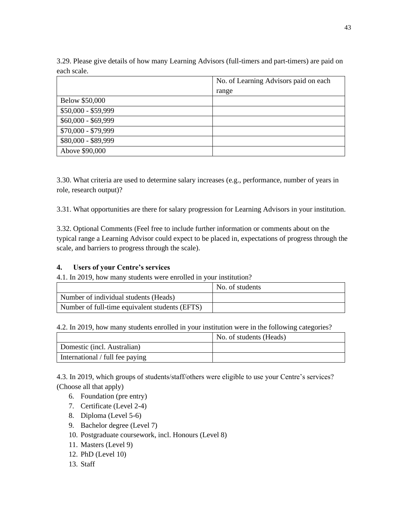3.29. Please give details of how many Learning Advisors (full-timers and part-timers) are paid on each scale.

|                     | No. of Learning Advisors paid on each |  |  |
|---------------------|---------------------------------------|--|--|
|                     | range                                 |  |  |
| Below \$50,000      |                                       |  |  |
| $$50,000 - $59,999$ |                                       |  |  |
| $$60,000 - $69,999$ |                                       |  |  |
| \$70,000 - \$79,999 |                                       |  |  |
| \$80,000 - \$89,999 |                                       |  |  |
| Above \$90,000      |                                       |  |  |

3.30. What criteria are used to determine salary increases (e.g., performance, number of years in role, research output)?

3.31. What opportunities are there for salary progression for Learning Advisors in your institution.

3.32. Optional Comments (Feel free to include further information or comments about on the typical range a Learning Advisor could expect to be placed in, expectations of progress through the scale, and barriers to progress through the scale).

## **4. Users of your Centre's services**

4.1. In 2019, how many students were enrolled in your institution?

|                                                | No. of students |
|------------------------------------------------|-----------------|
| Number of individual students (Heads)          |                 |
| Number of full-time equivalent students (EFTS) |                 |

4.2. In 2019, how many students enrolled in your institution were in the following categories?

|                                 | No. of students (Heads) |
|---------------------------------|-------------------------|
| Domestic (incl. Australian)     |                         |
| International / full fee paying |                         |

4.3. In 2019, which groups of students/staff/others were eligible to use your Centre's services? (Choose all that apply)

- 6. Foundation (pre entry)
- 7. Certificate (Level 2-4)
- 8. Diploma (Level 5-6)
- 9. Bachelor degree (Level 7)
- 10. Postgraduate coursework, incl. Honours (Level 8)
- 11. Masters (Level 9)
- 12. PhD (Level 10)
- 13. Staff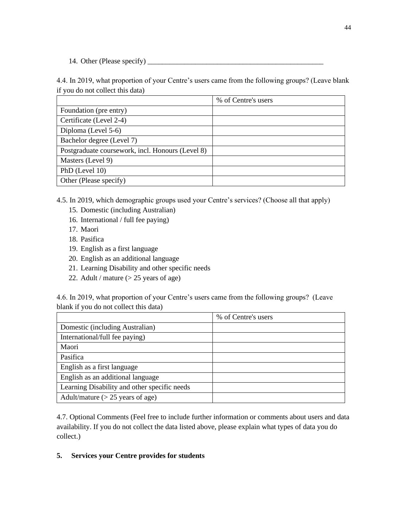14. Other (Please specify) \_\_\_\_\_\_\_\_\_\_\_\_\_\_\_\_\_\_\_\_\_\_\_\_\_\_\_\_\_\_\_\_\_\_\_\_\_\_\_\_\_\_\_\_\_\_\_\_

4.4. In 2019, what proportion of your Centre's users came from the following groups? (Leave blank if you do not collect this data)

|                                                  | % of Centre's users |
|--------------------------------------------------|---------------------|
| Foundation (pre entry)                           |                     |
| Certificate (Level 2-4)                          |                     |
| Diploma (Level 5-6)                              |                     |
| Bachelor degree (Level 7)                        |                     |
| Postgraduate coursework, incl. Honours (Level 8) |                     |
| Masters (Level 9)                                |                     |
| PhD (Level 10)                                   |                     |
| Other (Please specify)                           |                     |

4.5. In 2019, which demographic groups used your Centre's services? (Choose all that apply)

- 15. Domestic (including Australian)
- 16. International / full fee paying)
- 17. Maori
- 18. Pasifica
- 19. English as a first language
- 20. English as an additional language
- 21. Learning Disability and other specific needs
- 22. Adult / mature (> 25 years of age)

4.6. In 2019, what proportion of your Centre's users came from the following groups? (Leave blank if you do not collect this data)

|                                              | % of Centre's users |
|----------------------------------------------|---------------------|
| Domestic (including Australian)              |                     |
| International/full fee paying)               |                     |
| Maori                                        |                     |
| Pasifica                                     |                     |
| English as a first language                  |                     |
| English as an additional language            |                     |
| Learning Disability and other specific needs |                     |
| Adult/mature $(> 25$ years of age)           |                     |

4.7. Optional Comments (Feel free to include further information or comments about users and data availability. If you do not collect the data listed above, please explain what types of data you do collect.)

## **5. Services your Centre provides for students**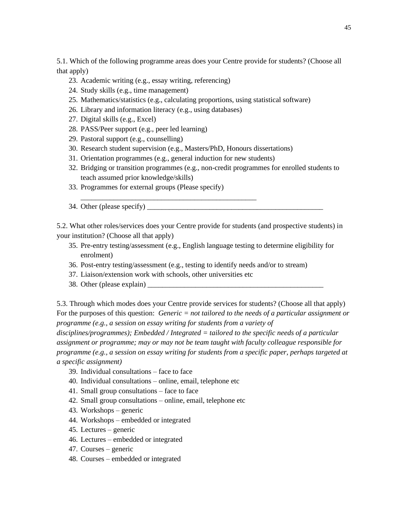5.1. Which of the following programme areas does your Centre provide for students? (Choose all that apply)

- 23. Academic writing (e.g., essay writing, referencing)
- 24. Study skills (e.g., time management)
- 25. Mathematics/statistics (e.g., calculating proportions, using statistical software)
- 26. Library and information literacy (e.g., using databases)
- 27. Digital skills (e.g., Excel)
- 28. PASS/Peer support (e.g., peer led learning)
- 29. Pastoral support (e.g., counselling)
- 30. Research student supervision (e.g., Masters/PhD, Honours dissertations)
- 31. Orientation programmes (e.g., general induction for new students)

\_\_\_\_\_\_\_\_\_\_\_\_\_\_\_\_\_\_\_\_\_\_\_\_\_\_\_\_\_\_\_\_\_\_\_\_\_\_\_\_\_\_\_\_\_\_\_\_

- 32. Bridging or transition programmes (e.g., non-credit programmes for enrolled students to teach assumed prior knowledge/skills)
- 33. Programmes for external groups (Please specify)
- 34. Other (please specify)

5.2. What other roles/services does your Centre provide for students (and prospective students) in your institution? (Choose all that apply)

- 35. Pre-entry testing/assessment (e.g., English language testing to determine eligibility for enrolment)
- 36. Post-entry testing/assessment (e.g., testing to identify needs and/or to stream)
- 37. Liaison/extension work with schools, other universities etc
- 38. Other (please explain)

5.3. Through which modes does your Centre provide services for students? (Choose all that apply) For the purposes of this question: *Generic = not tailored to the needs of a particular assignment or programme (e.g., a session on essay writing for students from a variety of* 

*disciplines/programmes); Embedded / Integrated = tailored to the specific needs of a particular assignment or programme; may or may not be team taught with faculty colleague responsible for programme (e.g., a session on essay writing for students from a specific paper, perhaps targeted at a specific assignment)*

- 39. Individual consultations face to face
- 40. Individual consultations online, email, telephone etc
- 41. Small group consultations face to face
- 42. Small group consultations online, email, telephone etc
- 43. Workshops generic
- 44. Workshops embedded or integrated
- 45. Lectures generic
- 46. Lectures embedded or integrated
- 47. Courses generic
- 48. Courses embedded or integrated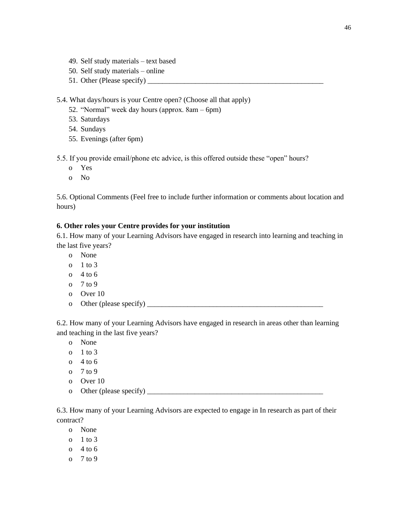- 49. Self study materials text based
- 50. Self study materials online
- 51. Other (Please specify)

5.4. What days/hours is your Centre open? (Choose all that apply)

- 52. "Normal" week day hours (approx. 8am 6pm)
- 53. Saturdays
- 54. Sundays
- 55. Evenings (after 6pm)

5.5. If you provide email/phone etc advice, is this offered outside these "open" hours?

- o Yes
- o No

5.6. Optional Comments (Feel free to include further information or comments about location and hours)

#### **6. Other roles your Centre provides for your institution**

6.1. How many of your Learning Advisors have engaged in research into learning and teaching in the last five years?

- o None
- o  $1$  to 3
- o  $4$  to 6
- $0 \quad 7 \text{ to } 9$
- o Over 10
- o Other (please specify) \_\_\_\_\_\_\_\_\_\_\_\_\_\_\_\_\_\_\_\_\_\_\_\_\_\_\_\_\_\_\_\_\_\_\_\_\_\_\_\_\_\_\_\_\_\_\_\_

6.2. How many of your Learning Advisors have engaged in research in areas other than learning and teaching in the last five years?

- o None
- o 1 to 3
- o 4 to 6
- o 7 to 9
- o Over 10
- o Other (please specify)  $\qquad \qquad$

6.3. How many of your Learning Advisors are expected to engage in In research as part of their contract?

- o None
- o 1 to 3
- o  $4$  to 6
- o 7 to 9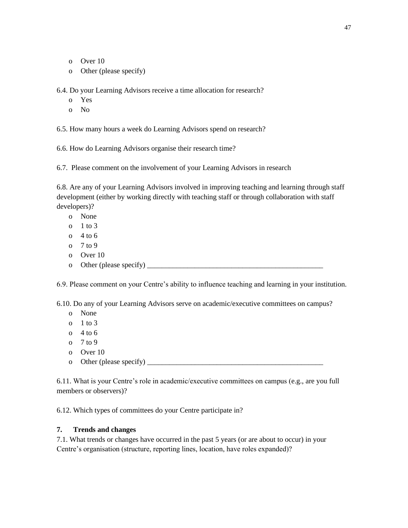- o Over 10
- o Other (please specify)

6.4. Do your Learning Advisors receive a time allocation for research?

- o Yes
- o No

6.5. How many hours a week do Learning Advisors spend on research?

6.6. How do Learning Advisors organise their research time?

6.7. Please comment on the involvement of your Learning Advisors in research

6.8. Are any of your Learning Advisors involved in improving teaching and learning through staff development (either by working directly with teaching staff or through collaboration with staff developers)?

- o None
- o 1 to 3
- $0 \quad 4 \text{ to } 6$
- o 7 to 9
- o Over 10
- o Other (please specify)  $\qquad$

6.9. Please comment on your Centre's ability to influence teaching and learning in your institution.

6.10. Do any of your Learning Advisors serve on academic/executive committees on campus?

- o None
- o  $1$  to  $3$
- $0 \quad 4 \text{ to } 6$
- o 7 to 9
- o Over 10
- o Other (please specify)  $\qquad \qquad$

6.11. What is your Centre's role in academic/executive committees on campus (e.g., are you full members or observers)?

6.12. Which types of committees do your Centre participate in?

#### **7. Trends and changes**

7.1. What trends or changes have occurred in the past 5 years (or are about to occur) in your Centre's organisation (structure, reporting lines, location, have roles expanded)?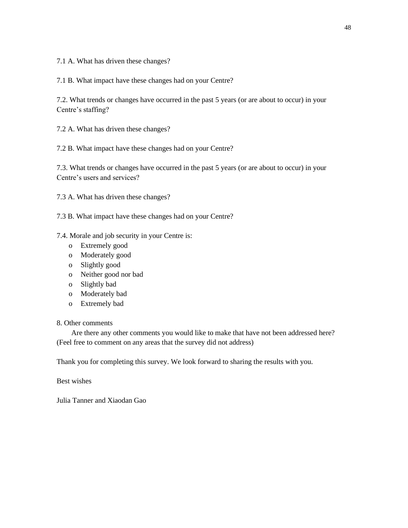7.1 A. What has driven these changes?

7.1 B. What impact have these changes had on your Centre?

7.2. What trends or changes have occurred in the past 5 years (or are about to occur) in your Centre's staffing?

7.2 A. What has driven these changes?

7.2 B. What impact have these changes had on your Centre?

7.3. What trends or changes have occurred in the past 5 years (or are about to occur) in your Centre's users and services?

7.3 A. What has driven these changes?

7.3 B. What impact have these changes had on your Centre?

7.4. Morale and job security in your Centre is:

- o Extremely good
- o Moderately good
- o Slightly good
- o Neither good nor bad
- o Slightly bad
- o Moderately bad
- o Extremely bad

### 8. Other comments

 Are there any other comments you would like to make that have not been addressed here? (Feel free to comment on any areas that the survey did not address)

Thank you for completing this survey. We look forward to sharing the results with you.

Best wishes

Julia Tanner and Xiaodan Gao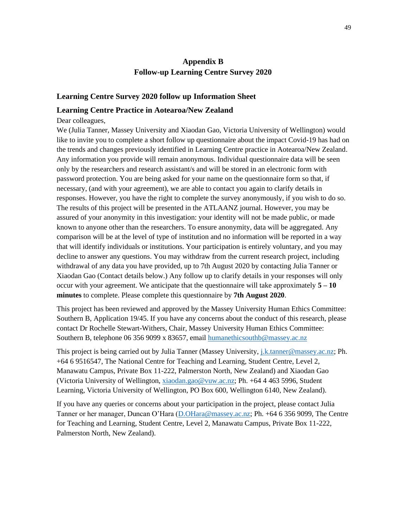# **Appendix B Follow-up Learning Centre Survey 2020**

#### **Learning Centre Survey 2020 follow up Information Sheet**

#### **Learning Centre Practice in Aotearoa/New Zealand**

Dear colleagues,

We (Julia Tanner, Massey University and Xiaodan Gao, Victoria University of Wellington) would like to invite you to complete a short follow up questionnaire about the impact Covid-19 has had on the trends and changes previously identified in Learning Centre practice in Aotearoa/New Zealand. Any information you provide will remain anonymous. Individual questionnaire data will be seen only by the researchers and research assistant/s and will be stored in an electronic form with password protection. You are being asked for your name on the questionnaire form so that, if necessary, (and with your agreement), we are able to contact you again to clarify details in responses. However, you have the right to complete the survey anonymously, if you wish to do so. The results of this project will be presented in the ATLAANZ journal. However, you may be assured of your anonymity in this investigation: your identity will not be made public, or made known to anyone other than the researchers. To ensure anonymity, data will be aggregated. Any comparison will be at the level of type of institution and no information will be reported in a way that will identify individuals or institutions. Your participation is entirely voluntary, and you may decline to answer any questions. You may withdraw from the current research project, including withdrawal of any data you have provided, up to 7th August 2020 by contacting Julia Tanner or Xiaodan Gao (Contact details below.) Any follow up to clarify details in your responses will only occur with your agreement. We anticipate that the questionnaire will take approximately **5 – 10 minutes** to complete. Please complete this questionnaire by **7th August 2020**.

This project has been reviewed and approved by the Massey University Human Ethics Committee: Southern B, Application 19/45. If you have any concerns about the conduct of this research, please contact Dr Rochelle Stewart-Withers, Chair, Massey University Human Ethics Committee: Southern B, telephone 06 356 9099 x 83657, email [humanethicsouthb@massey.ac.nz](mailto:humanethicsouthb@massey.ac.nz)

This project is being carried out by Julia Tanner (Massey University, [j.k.tanner@massey.ac.nz;](mailto:j.k.tanner@massey.ac.nz) Ph. +64 6 9516547, The National Centre for Teaching and Learning, Student Centre, Level 2, Manawatu Campus, Private Box 11-222, Palmerston North, New Zealand) and Xiaodan Gao (Victoria University of Wellington[, xiaodan.gao@vuw.ac.nz;](mailto:xiaodan.gao@vuw.ac.nz) Ph. +64 4 463 5996, Student Learning, Victoria University of Wellington, PO Box 600, Wellington 6140, New Zealand).

If you have any queries or concerns about your participation in the project, please contact Julia Tanner or her manager, Duncan O'Hara [\(D.OHara@massey.ac.nz;](mailto:D.OHara@massey.ac.nz) Ph. +64 6 356 9099, The Centre for Teaching and Learning, Student Centre, Level 2, Manawatu Campus, Private Box 11-222, Palmerston North, New Zealand).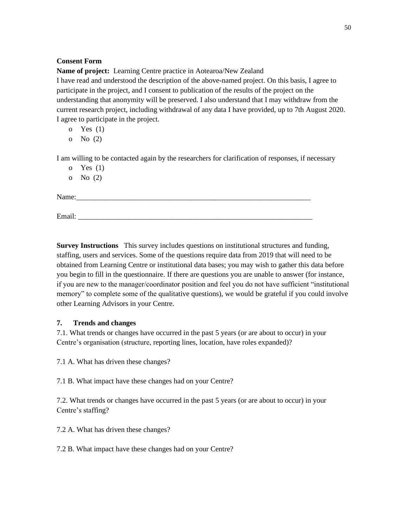## **Consent Form**

**Name of project:** Learning Centre practice in Aotearoa/New Zealand

I have read and understood the description of the above-named project. On this basis, I agree to participate in the project, and I consent to publication of the results of the project on the understanding that anonymity will be preserved. I also understand that I may withdraw from the current research project, including withdrawal of any data I have provided, up to 7th August 2020. I agree to participate in the project.

o Yes (1)

o No (2)

I am willing to be contacted again by the researchers for clarification of responses, if necessary

o Yes (1)

o No (2)

Name:

Email:

**Survey Instructions** This survey includes questions on institutional structures and funding, staffing, users and services. Some of the questions require data from 2019 that will need to be obtained from Learning Centre or institutional data bases; you may wish to gather this data before you begin to fill in the questionnaire. If there are questions you are unable to answer (for instance, if you are new to the manager/coordinator position and feel you do not have sufficient "institutional memory" to complete some of the qualitative questions), we would be grateful if you could involve other Learning Advisors in your Centre.

## **7. Trends and changes**

7.1. What trends or changes have occurred in the past 5 years (or are about to occur) in your Centre's organisation (structure, reporting lines, location, have roles expanded)?

7.1 A. What has driven these changes?

7.1 B. What impact have these changes had on your Centre?

7.2. What trends or changes have occurred in the past 5 years (or are about to occur) in your Centre's staffing?

7.2 A. What has driven these changes?

7.2 B. What impact have these changes had on your Centre?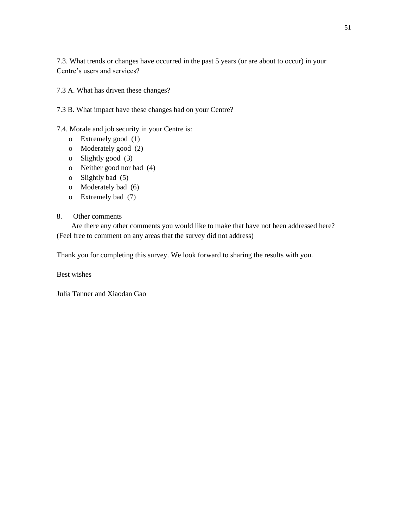7.3. What trends or changes have occurred in the past 5 years (or are about to occur) in your Centre's users and services?

7.3 A. What has driven these changes?

7.3 B. What impact have these changes had on your Centre?

7.4. Morale and job security in your Centre is:

- o Extremely good (1)
- o Moderately good (2)
- o Slightly good (3)
- o Neither good nor bad (4)
- o Slightly bad (5)
- o Moderately bad (6)
- o Extremely bad (7)

# 8. Other comments

 Are there any other comments you would like to make that have not been addressed here? (Feel free to comment on any areas that the survey did not address)

Thank you for completing this survey. We look forward to sharing the results with you.

Best wishes

Julia Tanner and Xiaodan Gao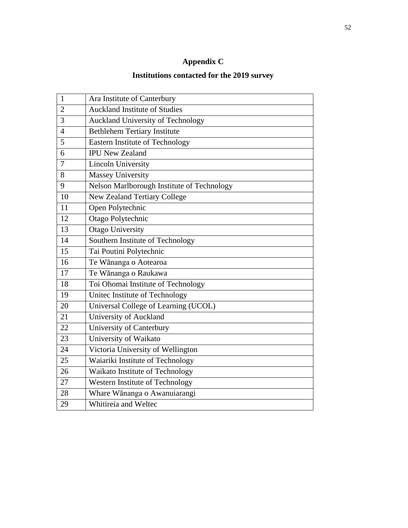# **Appendix C**

# **Institutions contacted for the 2019 survey**

| $\mathbf{1}$   | Ara Institute of Canterbury                |
|----------------|--------------------------------------------|
| $\overline{2}$ | <b>Auckland Institute of Studies</b>       |
| 3              | <b>Auckland University of Technology</b>   |
| $\overline{4}$ | <b>Bethlehem Tertiary Institute</b>        |
| 5              | <b>Eastern Institute of Technology</b>     |
| 6              | <b>IPU New Zealand</b>                     |
| 7              | <b>Lincoln University</b>                  |
| 8              | <b>Massey University</b>                   |
| 9              | Nelson Marlborough Institute of Technology |
| 10             | <b>New Zealand Tertiary College</b>        |
| 11             | Open Polytechnic                           |
| 12             | Otago Polytechnic                          |
| 13             | <b>Otago University</b>                    |
| 14             | Southern Institute of Technology           |
| 15             | Tai Poutini Polytechnic                    |
| 16             | Te Wānanga o Aotearoa                      |
| 17             | Te Wānanga o Raukawa                       |
| 18             | Toi Ohomai Institute of Technology         |
| 19             | United Institute of Technology             |
| 20             | Universal College of Learning (UCOL)       |
| 21             | University of Auckland                     |
| 22             | University of Canterbury                   |
| 23             | University of Waikato                      |
| 24             | Victoria University of Wellington          |
| 25             | Waiariki Institute of Technology           |
| 26             | Waikato Institute of Technology            |
| 27             | Western Institute of Technology            |
| 28             | Whare Wānanga o Awanuiarangi               |
| 29             | Whitireia and Weltec                       |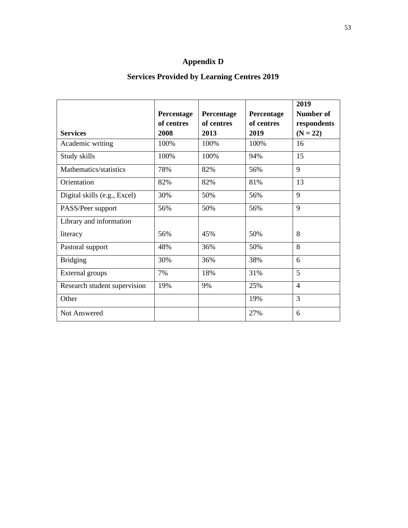# **Appendix D**

# **Services Provided by Learning Centres 2019**

|                              |            |            |            | 2019           |
|------------------------------|------------|------------|------------|----------------|
|                              | Percentage | Percentage | Percentage | Number of      |
|                              | of centres | of centres | of centres | respondents    |
| <b>Services</b>              | 2008       | 2013       | 2019       | $(N = 22)$     |
| Academic writing             | 100%       | 100%       | 100%       | 16             |
| Study skills                 | 100%       | 100%       | 94%        | 15             |
| Mathematics/statistics       | 78%        | 82%        | 56%        | 9              |
| Orientation                  | 82%        | 82%        | 81%        | 13             |
| Digital skills (e.g., Excel) | 30%        | 50%        | 56%        | 9              |
| PASS/Peer support            | 56%        | 50%        | 56%        | 9              |
| Library and information      |            |            |            |                |
| literacy                     | 56%        | 45%        | 50%        | 8              |
| Pastoral support             | 48%        | 36%        | 50%        | 8              |
| <b>Bridging</b>              | 30%        | 36%        | 38%        | 6              |
| External groups              | 7%         | 18%        | 31%        | 5              |
| Research student supervision | 19%        | 9%         | 25%        | $\overline{4}$ |
| Other                        |            |            | 19%        | 3              |
| Not Answered                 |            |            | 27%        | 6              |